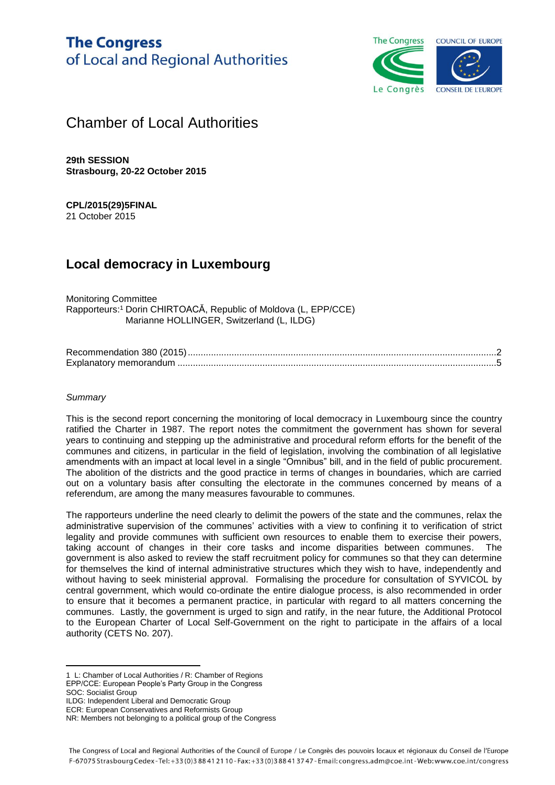# **The Congress** of Local and Regional Authorities



# Chamber of Local Authorities

**29th SESSION Strasbourg, 20-22 October 2015**

#### **CPL/2015(29)5FINAL** 21 October 2015

# **Local democracy in Luxembourg**

Monitoring Committee Rapporteurs: <sup>1</sup> Dorin CHIRTOACĂ, Republic of Moldova (L, EPP/CCE) Marianne HOLLINGER, Switzerland (L, ILDG)

### *Summary*

This is the second report concerning the monitoring of local democracy in Luxembourg since the country ratified the Charter in 1987. The report notes the commitment the government has shown for several years to continuing and stepping up the administrative and procedural reform efforts for the benefit of the communes and citizens, in particular in the field of legislation, involving the combination of all legislative amendments with an impact at local level in a single "Omnibus" bill, and in the field of public procurement. The abolition of the districts and the good practice in terms of changes in boundaries, which are carried out on a voluntary basis after consulting the electorate in the communes concerned by means of a referendum, are among the many measures favourable to communes.

The rapporteurs underline the need clearly to delimit the powers of the state and the communes, relax the administrative supervision of the communes' activities with a view to confining it to verification of strict legality and provide communes with sufficient own resources to enable them to exercise their powers, taking account of changes in their core tasks and income disparities between communes. The government is also asked to review the staff recruitment policy for communes so that they can determine for themselves the kind of internal administrative structures which they wish to have, independently and without having to seek ministerial approval. Formalising the procedure for consultation of SYVICOL by central government, which would co-ordinate the entire dialogue process, is also recommended in order to ensure that it becomes a permanent practice, in particular with regard to all matters concerning the communes. Lastly, the government is urged to sign and ratify, in the near future, the Additional Protocol to the European Charter of Local Self-Government on the right to participate in the affairs of a local authority (CETS No. 207).

 $\overline{a}$ 

ILDG: Independent Liberal and Democratic Group

<sup>1</sup> L: Chamber of Local Authorities / R: Chamber of Regions EPP/CCE: European People's Party Group in the Congress

SOC: Socialist Group

ECR: European Conservatives and Reformists Group

NR: Members not belonging to a political group of the Congress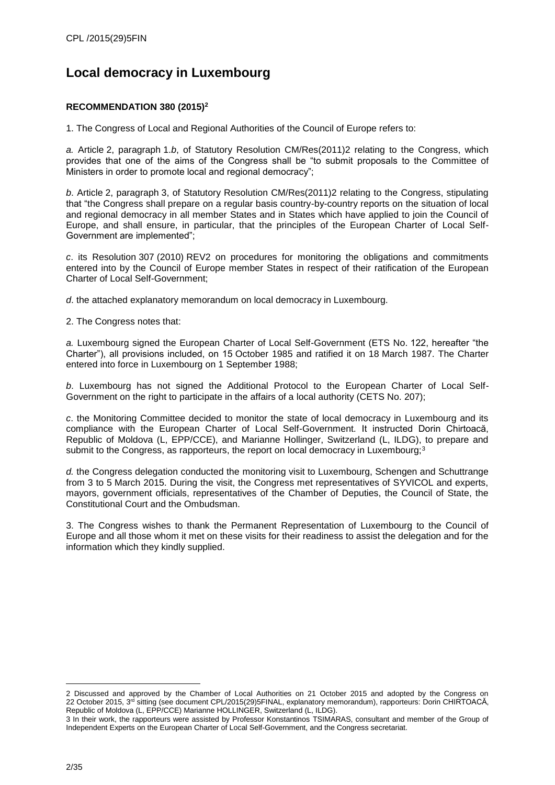# <span id="page-1-0"></span>**Local democracy in Luxembourg**

# **RECOMMENDATION 380 (2015)<sup>2</sup>**

1. The Congress of Local and Regional Authorities of the Council of Europe refers to:

*a.* Article 2, paragraph 1.*b*, of Statutory Resolution CM/Res(2011)2 relating to the Congress, which provides that one of the aims of the Congress shall be "to submit proposals to the Committee of Ministers in order to promote local and regional democracy";

*b*. Article 2, paragraph 3, of Statutory Resolution CM/Res(2011)2 relating to the Congress, stipulating that "the Congress shall prepare on a regular basis country-by-country reports on the situation of local and regional democracy in all member States and in States which have applied to join the Council of Europe, and shall ensure, in particular, that the principles of the European Charter of Local Self-Government are implemented";

*c*. its Resolution 307 (2010) REV2 on procedures for monitoring the obligations and commitments entered into by the Council of Europe member States in respect of their ratification of the European Charter of Local Self-Government;

*d*. the attached explanatory memorandum on local democracy in Luxembourg.

2. The Congress notes that:

*a.* Luxembourg signed the European Charter of Local Self-Government (ETS No. 122, hereafter "the Charter"), all provisions included, on 15 October 1985 and ratified it on 18 March 1987. The Charter entered into force in Luxembourg on 1 September 1988;

*b*. Luxembourg has not signed the Additional Protocol to the European Charter of Local Self-Government on the right to participate in the affairs of a local authority (CETS No. 207);

*c*. the Monitoring Committee decided to monitor the state of local democracy in Luxembourg and its compliance with the European Charter of Local Self-Government. It instructed Dorin Chirtoacă, Republic of Moldova (L, EPP/CCE), and Marianne Hollinger, Switzerland (L, ILDG), to prepare and submit to the Congress, as rapporteurs, the report on local democracy in Luxembourg; $3$ 

*d.* the Congress delegation conducted the monitoring visit to Luxembourg, Schengen and Schuttrange from 3 to 5 March 2015. During the visit, the Congress met representatives of SYVICOL and experts, mayors, government officials, representatives of the Chamber of Deputies, the Council of State, the Constitutional Court and the Ombudsman.

3. The Congress wishes to thank the Permanent Representation of Luxembourg to the Council of Europe and all those whom it met on these visits for their readiness to assist the delegation and for the information which they kindly supplied.

<sup>2</sup> Discussed and approved by the Chamber of Local Authorities on 21 October 2015 and adopted by the Congress on 22 October 2015, 3rd sitting (see document CPL/2015(29)5FINAL, explanatory memorandum), rapporteurs: Dorin CHIRTOACĂ, Republic of Moldova (L, EPP/CCE) Marianne HOLLINGER, Switzerland (L, ILDG).

<sup>3</sup> In their work, the rapporteurs were assisted by Professor Konstantinos TSIMARAS, consultant and member of the Group of Independent Experts on the European Charter of Local Self-Government, and the Congress secretariat.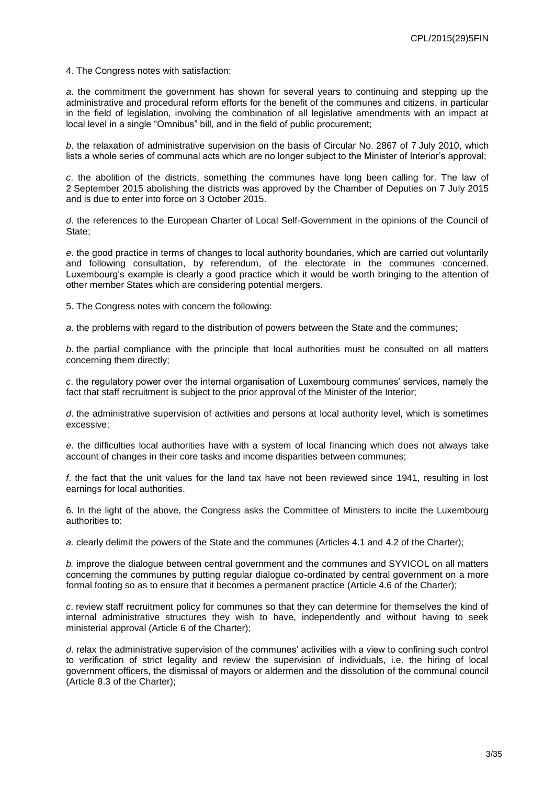4. The Congress notes with satisfaction:

*a*. the commitment the government has shown for several years to continuing and stepping up the administrative and procedural reform efforts for the benefit of the communes and citizens, in particular in the field of legislation, involving the combination of all legislative amendments with an impact at local level in a single "Omnibus" bill, and in the field of public procurement;

*b*. the relaxation of administrative supervision on the basis of Circular No. 2867 of 7 July 2010, which lists a whole series of communal acts which are no longer subject to the Minister of Interior's approval;

*c*. the abolition of the districts, something the communes have long been calling for. The law of 2 September 2015 abolishing the districts was approved by the Chamber of Deputies on 7 July 2015 and is due to enter into force on 3 October 2015.

*d*. the references to the European Charter of Local Self-Government in the opinions of the Council of State;

*e*. the good practice in terms of changes to local authority boundaries, which are carried out voluntarily and following consultation, by referendum, of the electorate in the communes concerned. Luxembourg's example is clearly a good practice which it would be worth bringing to the attention of other member States which are considering potential mergers.

5. The Congress notes with concern the following:

*a*. the problems with regard to the distribution of powers between the State and the communes;

*b*. the partial compliance with the principle that local authorities must be consulted on all matters concerning them directly;

*c*. the regulatory power over the internal organisation of Luxembourg communes' services, namely the fact that staff recruitment is subject to the prior approval of the Minister of the Interior;

*d*. the administrative supervision of activities and persons at local authority level, which is sometimes excessive;

*e*. the difficulties local authorities have with a system of local financing which does not always take account of changes in their core tasks and income disparities between communes;

*f*. the fact that the unit values for the land tax have not been reviewed since 1941, resulting in lost earnings for local authorities.

6. In the light of the above, the Congress asks the Committee of Ministers to incite the Luxembourg authorities to:

*a.* clearly delimit the powers of the State and the communes (Articles 4.1 and 4.2 of the Charter);

*b.* improve the dialogue between central government and the communes and SYVICOL on all matters concerning the communes by putting regular dialogue co-ordinated by central government on a more formal footing so as to ensure that it becomes a permanent practice (Article 4.6 of the Charter);

*c*. review staff recruitment policy for communes so that they can determine for themselves the kind of internal administrative structures they wish to have, independently and without having to seek ministerial approval (Article 6 of the Charter);

*d*. relax the administrative supervision of the communes' activities with a view to confining such control to verification of strict legality and review the supervision of individuals, i.e. the hiring of local government officers, the dismissal of mayors or aldermen and the dissolution of the communal council (Article 8.3 of the Charter);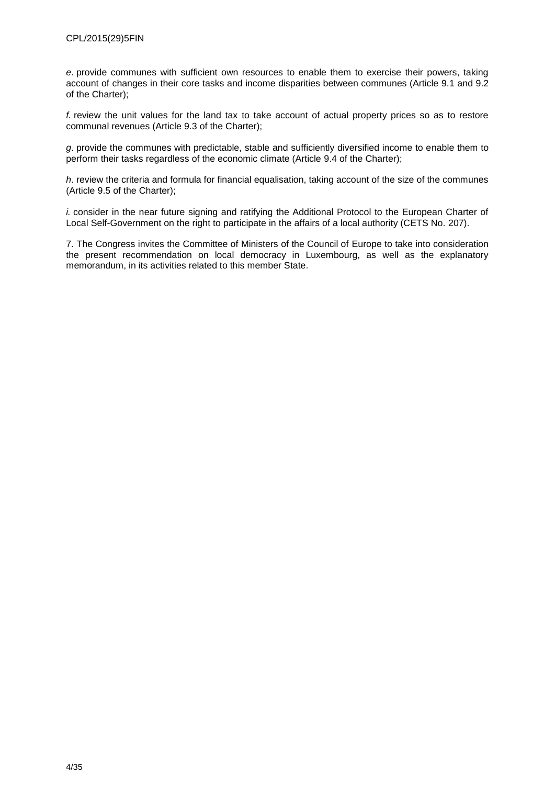*e*. provide communes with sufficient own resources to enable them to exercise their powers, taking account of changes in their core tasks and income disparities between communes (Article 9.1 and 9.2 of the Charter);

*f.* review the unit values for the land tax to take account of actual property prices so as to restore communal revenues (Article 9.3 of the Charter);

*g*. provide the communes with predictable, stable and sufficiently diversified income to enable them to perform their tasks regardless of the economic climate (Article 9.4 of the Charter);

*h*. review the criteria and formula for financial equalisation, taking account of the size of the communes (Article 9.5 of the Charter);

*i.* consider in the near future signing and ratifying the Additional Protocol to the European Charter of Local Self-Government on the right to participate in the affairs of a local authority (CETS No. 207).

7. The Congress invites the Committee of Ministers of the Council of Europe to take into consideration the present recommendation on local democracy in Luxembourg, as well as the explanatory memorandum, in its activities related to this member State.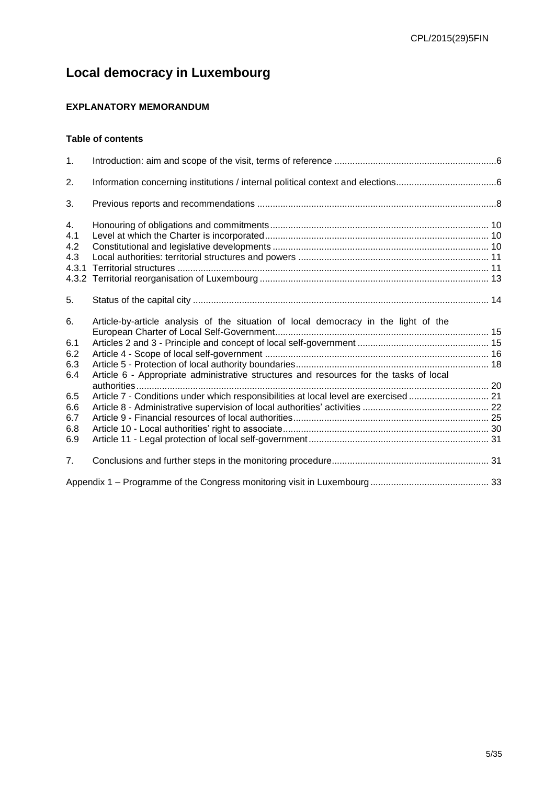# **Local democracy in Luxembourg**

# <span id="page-4-0"></span>**EXPLANATORY MEMORANDUM**

# **Table of contents**

| $\mathbf{1}$ . |                                                                                        |  |
|----------------|----------------------------------------------------------------------------------------|--|
| 2.             |                                                                                        |  |
| 3.             |                                                                                        |  |
| 4.             |                                                                                        |  |
| 4.1            |                                                                                        |  |
| 4.2            |                                                                                        |  |
| 4.3            |                                                                                        |  |
| 4.3.1          |                                                                                        |  |
|                |                                                                                        |  |
| 5.             |                                                                                        |  |
| 6.             | Article-by-article analysis of the situation of local democracy in the light of the    |  |
|                |                                                                                        |  |
| 6.1            |                                                                                        |  |
| 6.2            |                                                                                        |  |
| 6.3            |                                                                                        |  |
| 6.4            | Article 6 - Appropriate administrative structures and resources for the tasks of local |  |
|                |                                                                                        |  |
| 6.5            | Article 7 - Conditions under which responsibilities at local level are exercised  21   |  |
| 6.6            |                                                                                        |  |
| 6.7            |                                                                                        |  |
| 6.8            |                                                                                        |  |
| 6.9            |                                                                                        |  |
| 7.             |                                                                                        |  |
|                |                                                                                        |  |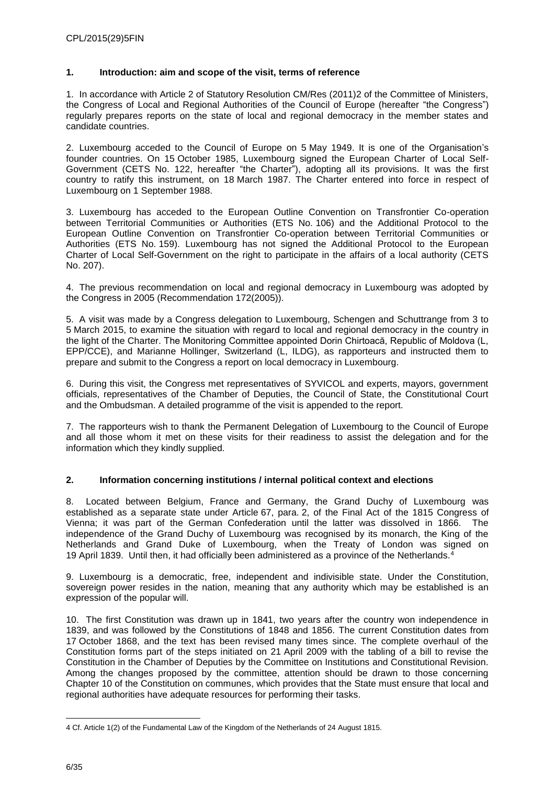#### <span id="page-5-0"></span>**1. Introduction: aim and scope of the visit, terms of reference**

1. In accordance with Article 2 of Statutory Resolution CM/Res (2011)2 of the Committee of Ministers, the Congress of Local and Regional Authorities of the Council of Europe (hereafter "the Congress") regularly prepares reports on the state of local and regional democracy in the member states and candidate countries.

2. Luxembourg acceded to the Council of Europe on 5 May 1949. It is one of the Organisation's founder countries. On 15 October 1985, Luxembourg signed the European Charter of Local Self-Government (CETS No. 122, hereafter "the Charter"), adopting all its provisions. It was the first country to ratify this instrument, on 18 March 1987. The Charter entered into force in respect of Luxembourg on 1 September 1988.

3. Luxembourg has acceded to the European Outline Convention on Transfrontier Co-operation between Territorial Communities or Authorities (ETS No. 106) and the Additional Protocol to the European Outline Convention on Transfrontier Co-operation between Territorial Communities or Authorities (ETS No. 159). Luxembourg has not signed the Additional Protocol to the European Charter of Local Self-Government on the right to participate in the affairs of a local authority (CETS No. 207).

4. The previous recommendation on local and regional democracy in Luxembourg was adopted by the Congress in 2005 (Recommendation 172(2005)).

5. A visit was made by a Congress delegation to Luxembourg, Schengen and Schuttrange from 3 to 5 March 2015, to examine the situation with regard to local and regional democracy in the country in the light of the Charter. The Monitoring Committee appointed Dorin Chirtoacă, Republic of Moldova (L, EPP/CCE), and Marianne Hollinger, Switzerland (L, ILDG), as rapporteurs and instructed them to prepare and submit to the Congress a report on local democracy in Luxembourg.

6. During this visit, the Congress met representatives of SYVICOL and experts, mayors, government officials, representatives of the Chamber of Deputies, the Council of State, the Constitutional Court and the Ombudsman. A detailed programme of the visit is appended to the report.

7. The rapporteurs wish to thank the Permanent Delegation of Luxembourg to the Council of Europe and all those whom it met on these visits for their readiness to assist the delegation and for the information which they kindly supplied.

### <span id="page-5-1"></span>**2. Information concerning institutions / internal political context and elections**

8. Located between Belgium, France and Germany, the Grand Duchy of Luxembourg was established as a separate state under Article 67, para. 2, of the Final Act of the 1815 Congress of Vienna; it was part of the German Confederation until the latter was dissolved in 1866. The independence of the Grand Duchy of Luxembourg was recognised by its monarch, the King of the Netherlands and Grand Duke of Luxembourg, when the Treaty of London was signed on 19 April 1839. Until then, it had officially been administered as a province of the Netherlands.<sup>4</sup>

9. Luxembourg is a democratic, free, independent and indivisible state. Under the Constitution, sovereign power resides in the nation, meaning that any authority which may be established is an expression of the popular will.

10. The first Constitution was drawn up in 1841, two years after the country won independence in 1839, and was followed by the Constitutions of 1848 and 1856. The current Constitution dates from 17 October 1868, and the text has been revised many times since. The complete overhaul of the Constitution forms part of the steps initiated on 21 April 2009 with the tabling of a bill to revise the Constitution in the Chamber of Deputies by the Committee on Institutions and Constitutional Revision. Among the changes proposed by the committee, attention should be drawn to those concerning Chapter 10 of the Constitution on communes, which provides that the State must ensure that local and regional authorities have adequate resources for performing their tasks.

<sup>4</sup> Cf. Article 1(2) of the Fundamental Law of the Kingdom of the Netherlands of 24 August 1815.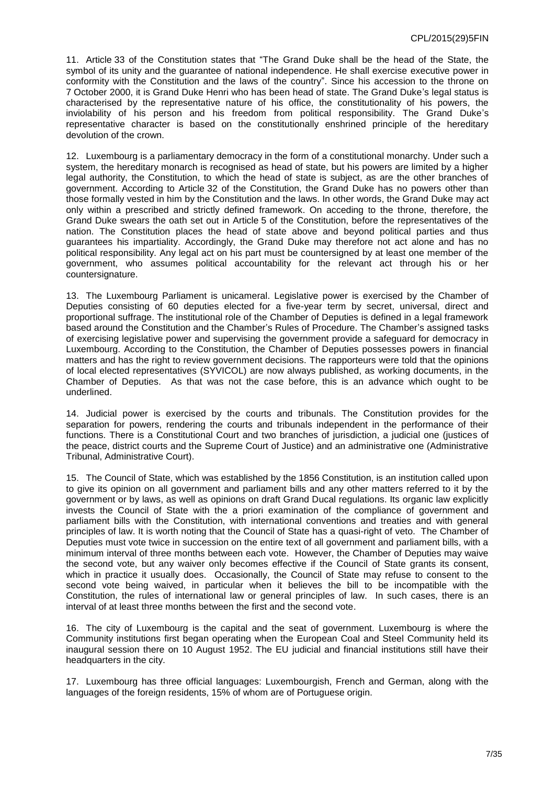11. Article 33 of the Constitution states that "The Grand Duke shall be the head of the State, the symbol of its unity and the guarantee of national independence. He shall exercise executive power in conformity with the Constitution and the laws of the country". Since his accession to the throne on 7 October 2000, it is Grand Duke Henri who has been head of state. The Grand Duke's legal status is characterised by the representative nature of his office, the constitutionality of his powers, the inviolability of his person and his freedom from political responsibility. The Grand Duke's representative character is based on the constitutionally enshrined principle of the hereditary devolution of the crown.

12. Luxembourg is a parliamentary democracy in the form of a constitutional monarchy. Under such a system, the hereditary monarch is recognised as head of state, but his powers are limited by a higher legal authority, the Constitution, to which the head of state is subject, as are the other branches of government. According to Article 32 of the Constitution, the Grand Duke has no powers other than those formally vested in him by the Constitution and the laws. In other words, the Grand Duke may act only within a prescribed and strictly defined framework. On acceding to the throne, therefore, the Grand Duke swears the oath set out in Article 5 of the Constitution, before the representatives of the nation. The Constitution places the head of state above and beyond political parties and thus guarantees his impartiality. Accordingly, the Grand Duke may therefore not act alone and has no political responsibility. Any legal act on his part must be countersigned by at least one member of the government, who assumes political accountability for the relevant act through his or her countersignature.

13. The Luxembourg Parliament is unicameral. Legislative power is exercised by the Chamber of Deputies consisting of 60 deputies elected for a five-year term by secret, universal, direct and proportional suffrage. The institutional role of the Chamber of Deputies is defined in a legal framework based around the Constitution and the Chamber's Rules of Procedure. The Chamber's assigned tasks of exercising legislative power and supervising the government provide a safeguard for democracy in Luxembourg. According to the Constitution, the Chamber of Deputies possesses powers in financial matters and has the right to review government decisions. The rapporteurs were told that the opinions of local elected representatives (SYVICOL) are now always published, as working documents, in the Chamber of Deputies. As that was not the case before, this is an advance which ought to be underlined.

14. Judicial power is exercised by the courts and tribunals. The Constitution provides for the separation for powers, rendering the courts and tribunals independent in the performance of their functions. There is a Constitutional Court and two branches of jurisdiction, a judicial one (justices of the peace, district courts and the Supreme Court of Justice) and an administrative one (Administrative Tribunal, Administrative Court).

15. The Council of State, which was established by the 1856 Constitution, is an institution called upon to give its opinion on all government and parliament bills and any other matters referred to it by the government or by laws, as well as opinions on draft Grand Ducal regulations. Its organic law explicitly invests the Council of State with the a priori examination of the compliance of government and parliament bills with the Constitution, with international conventions and treaties and with general principles of law. It is worth noting that the Council of State has a quasi-right of veto. The Chamber of Deputies must vote twice in succession on the entire text of all government and parliament bills, with a minimum interval of three months between each vote. However, the Chamber of Deputies may waive the second vote, but any waiver only becomes effective if the Council of State grants its consent, which in practice it usually does. Occasionally, the Council of State may refuse to consent to the second vote being waived, in particular when it believes the bill to be incompatible with the Constitution, the rules of international law or general principles of law. In such cases, there is an interval of at least three months between the first and the second vote.

16. The city of Luxembourg is the capital and the seat of government. Luxembourg is where the Community institutions first began operating when the European Coal and Steel Community held its inaugural session there on 10 August 1952. The EU judicial and financial institutions still have their headquarters in the city.

17. Luxembourg has three official languages: Luxembourgish, French and German, along with the languages of the foreign residents, 15% of whom are of Portuguese origin.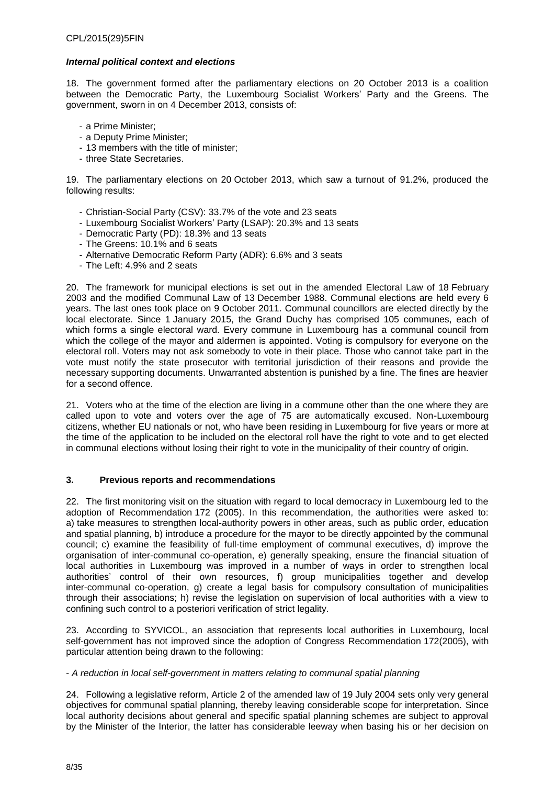#### *Internal political context and elections*

18. The government formed after the parliamentary elections on 20 October 2013 is a coalition between the Democratic Party, the Luxembourg Socialist Workers' Party and the Greens. The government, sworn in on 4 December 2013, consists of:

- a Prime Minister;
- a Deputy Prime Minister;
- 13 members with the title of minister;
- three State Secretaries.

19. The parliamentary elections on 20 October 2013, which saw a turnout of 91.2%, produced the following results:

- Christian-Social Party (CSV): 33.7% of the vote and 23 seats
- Luxembourg Socialist Workers' Party (LSAP): 20.3% and 13 seats
- Democratic Party (PD): 18.3% and 13 seats
- The Greens: 10.1% and 6 seats
- Alternative Democratic Reform Party (ADR): 6.6% and 3 seats
- The Left: 4.9% and 2 seats

20. The framework for municipal elections is set out in the amended Electoral Law of 18 February 2003 and the modified Communal Law of 13 December 1988. Communal elections are held every 6 years. The last ones took place on 9 October 2011. Communal councillors are elected directly by the local electorate. Since 1 January 2015, the Grand Duchy has comprised 105 communes, each of which forms a single electoral ward. Every commune in Luxembourg has a communal council from which the college of the mayor and aldermen is appointed. Voting is compulsory for everyone on the electoral roll. Voters may not ask somebody to vote in their place. Those who cannot take part in the vote must notify the state prosecutor with territorial jurisdiction of their reasons and provide the necessary supporting documents. Unwarranted abstention is punished by a fine. The fines are heavier for a second offence.

21. Voters who at the time of the election are living in a commune other than the one where they are called upon to vote and voters over the age of 75 are automatically excused. Non-Luxembourg citizens, whether EU nationals or not, who have been residing in Luxembourg for five years or more at the time of the application to be included on the electoral roll have the right to vote and to get elected in communal elections without losing their right to vote in the municipality of their country of origin.

#### <span id="page-7-0"></span>**3. Previous reports and recommendations**

22. The first monitoring visit on the situation with regard to local democracy in Luxembourg led to the adoption of Recommendation 172 (2005). In this recommendation, the authorities were asked to: a) take measures to strengthen local-authority powers in other areas, such as public order, education and spatial planning, b) introduce a procedure for the mayor to be directly appointed by the communal council; c) examine the feasibility of full-time employment of communal executives, d) improve the organisation of inter-communal co-operation, e) generally speaking, ensure the financial situation of local authorities in Luxembourg was improved in a number of ways in order to strengthen local authorities' control of their own resources, f) group municipalities together and develop inter-communal co-operation, g) create a legal basis for compulsory consultation of municipalities through their associations; h) revise the legislation on supervision of local authorities with a view to confining such control to a posteriori verification of strict legality.

23. According to SYVICOL, an association that represents local authorities in Luxembourg, local self-government has not improved since the adoption of Congress Recommendation 172(2005), with particular attention being drawn to the following:

#### - *A reduction in local self-government in matters relating to communal spatial planning*

24. Following a legislative reform, Article 2 of the amended law of 19 July 2004 sets only very general objectives for communal spatial planning, thereby leaving considerable scope for interpretation. Since local authority decisions about general and specific spatial planning schemes are subject to approval by the Minister of the Interior, the latter has considerable leeway when basing his or her decision on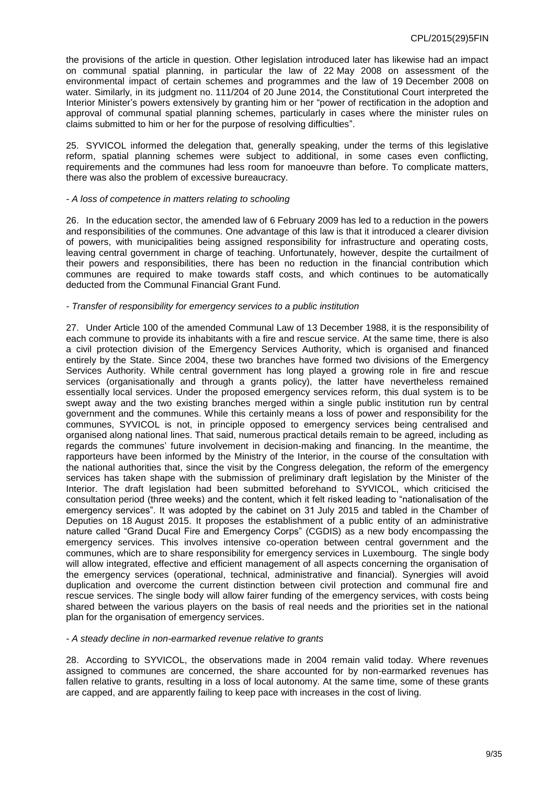the provisions of the article in question. Other legislation introduced later has likewise had an impact on communal spatial planning, in particular the law of 22 May 2008 on assessment of the environmental impact of certain schemes and programmes and the law of 19 December 2008 on water. Similarly, in its judgment no. 111/204 of 20 June 2014, the Constitutional Court interpreted the Interior Minister's powers extensively by granting him or her "power of rectification in the adoption and approval of communal spatial planning schemes, particularly in cases where the minister rules on claims submitted to him or her for the purpose of resolving difficulties".

25. SYVICOL informed the delegation that, generally speaking, under the terms of this legislative reform, spatial planning schemes were subject to additional, in some cases even conflicting, requirements and the communes had less room for manoeuvre than before. To complicate matters, there was also the problem of excessive bureaucracy.

#### *- A loss of competence in matters relating to schooling*

26. In the education sector, the amended law of 6 February 2009 has led to a reduction in the powers and responsibilities of the communes. One advantage of this law is that it introduced a clearer division of powers, with municipalities being assigned responsibility for infrastructure and operating costs, leaving central government in charge of teaching. Unfortunately, however, despite the curtailment of their powers and responsibilities, there has been no reduction in the financial contribution which communes are required to make towards staff costs, and which continues to be automatically deducted from the Communal Financial Grant Fund.

#### *- Transfer of responsibility for emergency services to a public institution*

27. Under Article 100 of the amended Communal Law of 13 December 1988, it is the responsibility of each commune to provide its inhabitants with a fire and rescue service. At the same time, there is also a civil protection division of the Emergency Services Authority, which is organised and financed entirely by the State. Since 2004, these two branches have formed two divisions of the Emergency Services Authority. While central government has long played a growing role in fire and rescue services (organisationally and through a grants policy), the latter have nevertheless remained essentially local services. Under the proposed emergency services reform, this dual system is to be swept away and the two existing branches merged within a single public institution run by central government and the communes. While this certainly means a loss of power and responsibility for the communes, SYVICOL is not, in principle opposed to emergency services being centralised and organised along national lines. That said, numerous practical details remain to be agreed, including as regards the communes' future involvement in decision-making and financing. In the meantime, the rapporteurs have been informed by the Ministry of the Interior, in the course of the consultation with the national authorities that, since the visit by the Congress delegation, the reform of the emergency services has taken shape with the submission of preliminary draft legislation by the Minister of the Interior. The draft legislation had been submitted beforehand to SYVICOL, which criticised the consultation period (three weeks) and the content, which it felt risked leading to "nationalisation of the emergency services". It was adopted by the cabinet on 31 July 2015 and tabled in the Chamber of Deputies on 18 August 2015. It proposes the establishment of a public entity of an administrative nature called "Grand Ducal Fire and Emergency Corps" (CGDIS) as a new body encompassing the emergency services. This involves intensive co-operation between central government and the communes, which are to share responsibility for emergency services in Luxembourg. The single body will allow integrated, effective and efficient management of all aspects concerning the organisation of the emergency services (operational, technical, administrative and financial). Synergies will avoid duplication and overcome the current distinction between civil protection and communal fire and rescue services. The single body will allow fairer funding of the emergency services, with costs being shared between the various players on the basis of real needs and the priorities set in the national plan for the organisation of emergency services.

#### *- A steady decline in non-earmarked revenue relative to grants*

28. According to SYVICOL, the observations made in 2004 remain valid today. Where revenues assigned to communes are concerned, the share accounted for by non-earmarked revenues has fallen relative to grants, resulting in a loss of local autonomy. At the same time, some of these grants are capped, and are apparently failing to keep pace with increases in the cost of living.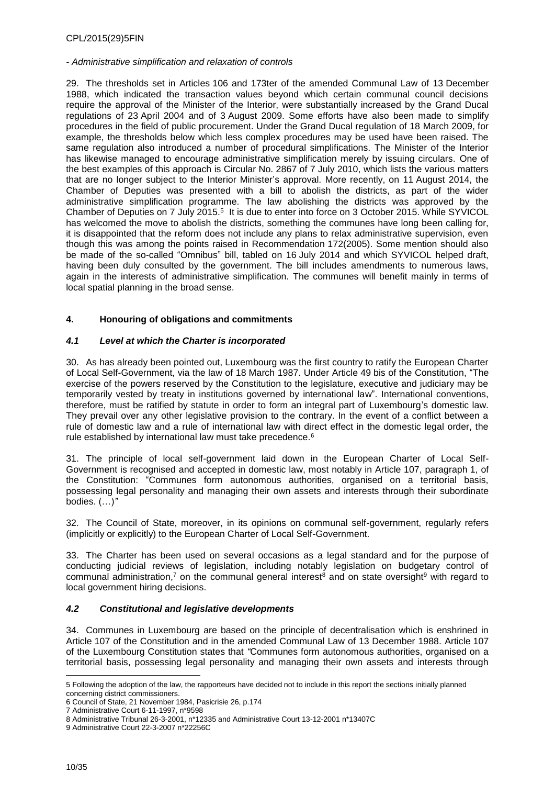#### *- Administrative simplification and relaxation of controls*

29. The thresholds set in Articles 106 and 173ter of the amended Communal Law of 13 December 1988, which indicated the transaction values beyond which certain communal council decisions require the approval of the Minister of the Interior, were substantially increased by the Grand Ducal regulations of 23 April 2004 and of 3 August 2009. Some efforts have also been made to simplify procedures in the field of public procurement. Under the Grand Ducal regulation of 18 March 2009, for example, the thresholds below which less complex procedures may be used have been raised. The same regulation also introduced a number of procedural simplifications. The Minister of the Interior has likewise managed to encourage administrative simplification merely by issuing circulars. One of the best examples of this approach is Circular No. 2867 of 7 July 2010, which lists the various matters that are no longer subject to the Interior Minister's approval. More recently, on 11 August 2014, the Chamber of Deputies was presented with a bill to abolish the districts, as part of the wider administrative simplification programme. The law abolishing the districts was approved by the Chamber of Deputies on 7 July 2015. $^5\,$  It is due to enter into force on 3 October 2015. While SYVICOL has welcomed the move to abolish the districts, something the communes have long been calling for, it is disappointed that the reform does not include any plans to relax administrative supervision, even though this was among the points raised in Recommendation 172(2005). Some mention should also be made of the so-called "Omnibus" bill, tabled on 16 July 2014 and which SYVICOL helped draft, having been duly consulted by the government. The bill includes amendments to numerous laws, again in the interests of administrative simplification. The communes will benefit mainly in terms of local spatial planning in the broad sense.

## <span id="page-9-0"></span>**4. Honouring of obligations and commitments**

### <span id="page-9-1"></span>*4.1 Level at which the Charter is incorporated*

30. As has already been pointed out, Luxembourg was the first country to ratify the European Charter of Local Self-Government, via the law of 18 March 1987. Under Article 49 bis of the Constitution, "The exercise of the powers reserved by the Constitution to the legislature, executive and judiciary may be temporarily vested by treaty in institutions governed by international law". International conventions, therefore, must be ratified by statute in order to form an integral part of Luxembourg's domestic law. They prevail over any other legislative provision to the contrary. In the event of a conflict between a rule of domestic law and a rule of international law with direct effect in the domestic legal order, the rule established by international law must take precedence.<sup>6</sup>

31. The principle of local self-government laid down in the European Charter of Local Self-Government is recognised and accepted in domestic law, most notably in Article 107, paragraph 1, of the Constitution: "Communes form autonomous authorities, organised on a territorial basis, possessing legal personality and managing their own assets and interests through their subordinate bodies. (…)*"*

32. The Council of State, moreover, in its opinions on communal self-government, regularly refers (implicitly or explicitly) to the European Charter of Local Self-Government.

33. The Charter has been used on several occasions as a legal standard and for the purpose of conducting judicial reviews of legislation, including notably legislation on budgetary control of communal administration,<sup>7</sup> on the communal general interest<sup>8</sup> and on state oversight<sup>9</sup> with regard to local government hiring decisions.

### <span id="page-9-2"></span>*4.2 Constitutional and legislative developments*

34. Communes in Luxembourg are based on the principle of decentralisation which is enshrined in Article 107 of the Constitution and in the amended Communal Law of 13 December 1988. Article 107 of the Luxembourg Constitution states that *"*Communes form autonomous authorities, organised on a territorial basis, possessing legal personality and managing their own assets and interests through

 $\overline{a}$ 5 Following the adoption of the law, the rapporteurs have decided not to include in this report the sections initially planned concerning district commissioners.

<sup>6</sup> Council of State, 21 November 1984, Pasicrisie 26, p.174

<sup>7</sup> Administrative Court 6-11-1997, n\*9598

<sup>8</sup> Administrative Tribunal 26-3-2001, n\*12335 and Administrative Court 13-12-2001 n\*13407C

<sup>9</sup> Administrative Court 22-3-2007 n\*22256C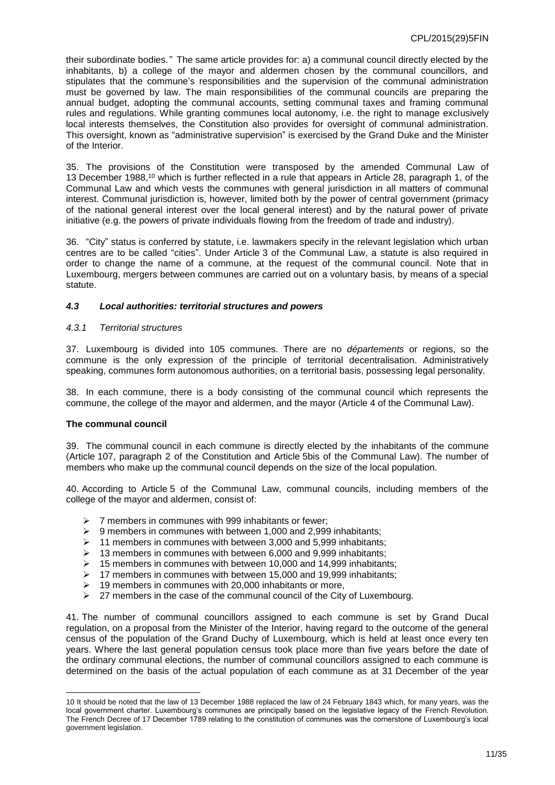their subordinate bodies.*"* The same article provides for: a) a communal council directly elected by the inhabitants, b) a college of the mayor and aldermen chosen by the communal councillors, and stipulates that the commune's responsibilities and the supervision of the communal administration must be governed by law. The main responsibilities of the communal councils are preparing the annual budget, adopting the communal accounts, setting communal taxes and framing communal rules and regulations. While granting communes local autonomy, i.e. the right to manage exclusively local interests themselves, the Constitution also provides for oversight of communal administration. This oversight, known as "administrative supervision" is exercised by the Grand Duke and the Minister of the Interior.

35. The provisions of the Constitution were transposed by the amended Communal Law of 13 December 1988, <sup>10</sup> which is further reflected in a rule that appears in Article 28, paragraph 1, of the Communal Law and which vests the communes with general jurisdiction in all matters of communal interest. Communal jurisdiction is, however, limited both by the power of central government (primacy of the national general interest over the local general interest) and by the natural power of private initiative (e.g. the powers of private individuals flowing from the freedom of trade and industry).

36. "City" status is conferred by statute, i.e. lawmakers specify in the relevant legislation which urban centres are to be called "cities". Under Article 3 of the Communal Law, a statute is also required in order to change the name of a commune, at the request of the communal council. Note that in Luxembourg, mergers between communes are carried out on a voluntary basis, by means of a special statute.

#### <span id="page-10-0"></span>*4.3 Local authorities: territorial structures and powers*

#### <span id="page-10-1"></span>*4.3.1 Territorial structures*

37. Luxembourg is divided into 105 communes. There are no *départements* or regions, so the commune is the only expression of the principle of territorial decentralisation. Administratively speaking, communes form autonomous authorities, on a territorial basis, possessing legal personality.

38. In each commune, there is a body consisting of the communal council which represents the commune, the college of the mayor and aldermen, and the mayor (Article 4 of the Communal Law).

#### **The communal council**

 $\overline{a}$ 

39. The communal council in each commune is directly elected by the inhabitants of the commune (Article 107, paragraph 2 of the Constitution and Article 5bis of the Communal Law). The number of members who make up the communal council depends on the size of the local population.

40. According to Article 5 of the Communal Law, communal councils, including members of the college of the mayor and aldermen, consist of:

- $\geq 7$  members in communes with 999 inhabitants or fewer:
- $\geq$  9 members in communes with between 1,000 and 2,999 inhabitants;
- $\geq 11$  members in communes with between 3,000 and 5,999 inhabitants;
- $\geq$  13 members in communes with between 6,000 and 9,999 inhabitants;
- $\geq$  15 members in communes with between 10,000 and 14,999 inhabitants;
- $\geq$  17 members in communes with between 15,000 and 19,999 inhabitants;
- 19 members in communes with 20,000 inhabitants or more,
- $\triangleright$  27 members in the case of the communal council of the City of Luxembourg.

41. The number of communal councillors assigned to each commune is set by Grand Ducal regulation, on a proposal from the Minister of the Interior, having regard to the outcome of the general census of the population of the Grand Duchy of Luxembourg, which is held at least once every ten years. Where the last general population census took place more than five years before the date of the ordinary communal elections, the number of communal councillors assigned to each commune is determined on the basis of the actual population of each commune as at 31 December of the year

<sup>10</sup> It should be noted that the law of 13 December 1988 replaced the law of 24 February 1843 which, for many years, was the local government charter. Luxembourg's communes are principally based on the legislative legacy of the French Revolution. The French Decree of 17 December 1789 relating to the constitution of communes was the cornerstone of Luxembourg's local government legislation.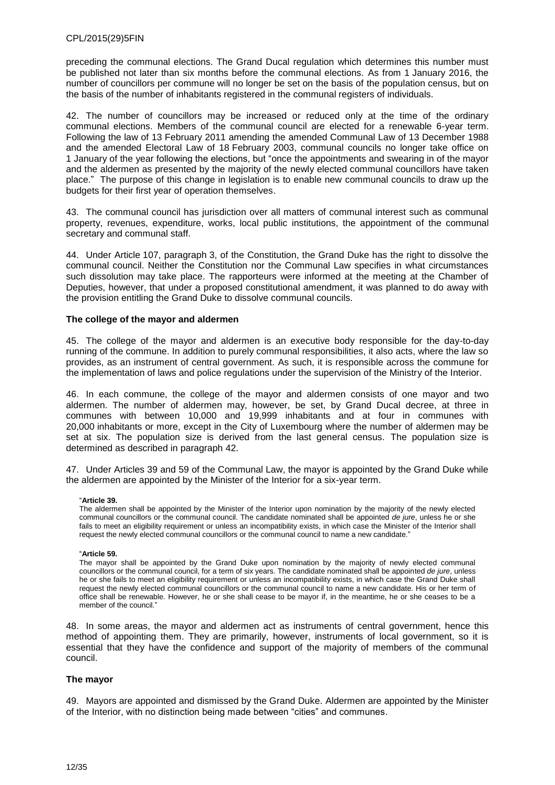preceding the communal elections. The Grand Ducal regulation which determines this number must be published not later than six months before the communal elections. As from 1 January 2016, the number of councillors per commune will no longer be set on the basis of the population census, but on the basis of the number of inhabitants registered in the communal registers of individuals.

42. The number of councillors may be increased or reduced only at the time of the ordinary communal elections. Members of the communal council are elected for a renewable 6-year term. Following the law of 13 February 2011 amending the amended Communal Law of 13 December 1988 and the amended Electoral Law of 18 February 2003, communal councils no longer take office on 1 January of the year following the elections, but "once the appointments and swearing in of the mayor and the aldermen as presented by the majority of the newly elected communal councillors have taken place." The purpose of this change in legislation is to enable new communal councils to draw up the budgets for their first year of operation themselves.

43. The communal council has jurisdiction over all matters of communal interest such as communal property, revenues, expenditure, works, local public institutions, the appointment of the communal secretary and communal staff.

44. Under Article 107, paragraph 3, of the Constitution, the Grand Duke has the right to dissolve the communal council. Neither the Constitution nor the Communal Law specifies in what circumstances such dissolution may take place. The rapporteurs were informed at the meeting at the Chamber of Deputies, however, that under a proposed constitutional amendment, it was planned to do away with the provision entitling the Grand Duke to dissolve communal councils.

#### **The college of the mayor and aldermen**

45. The college of the mayor and aldermen is an executive body responsible for the day-to-day running of the commune. In addition to purely communal responsibilities, it also acts, where the law so provides, as an instrument of central government. As such, it is responsible across the commune for the implementation of laws and police regulations under the supervision of the Ministry of the Interior.

46. In each commune, the college of the mayor and aldermen consists of one mayor and two aldermen. The number of aldermen may, however, be set, by Grand Ducal decree, at three in communes with between 10,000 and 19,999 inhabitants and at four in communes with 20,000 inhabitants or more, except in the City of Luxembourg where the number of aldermen may be set at six. The population size is derived from the last general census. The population size is determined as described in paragraph 42.

47. Under Articles 39 and 59 of the Communal Law, the mayor is appointed by the Grand Duke while the aldermen are appointed by the Minister of the Interior for a six-year term.

#### "**Article 39.**

The aldermen shall be appointed by the Minister of the Interior upon nomination by the majority of the newly elected communal councillors or the communal council. The candidate nominated shall be appointed *de jure*, unless he or she fails to meet an eligibility requirement or unless an incompatibility exists, in which case the Minister of the Interior shall request the newly elected communal councillors or the communal council to name a new candidate."

#### "**Article 59.**

The mayor shall be appointed by the Grand Duke upon nomination by the majority of newly elected communal councillors or the communal council, for a term of six years. The candidate nominated shall be appointed *de jure*, unless he or she fails to meet an eligibility requirement or unless an incompatibility exists, in which case the Grand Duke shall request the newly elected communal councillors or the communal council to name a new candidate. His or her term of office shall be renewable. However, he or she shall cease to be mayor if, in the meantime, he or she ceases to be a member of the council."

48. In some areas, the mayor and aldermen act as instruments of central government, hence this method of appointing them. They are primarily, however, instruments of local government, so it is essential that they have the confidence and support of the majority of members of the communal council.

#### **The mayor**

49. Mayors are appointed and dismissed by the Grand Duke. Aldermen are appointed by the Minister of the Interior, with no distinction being made between "cities" and communes.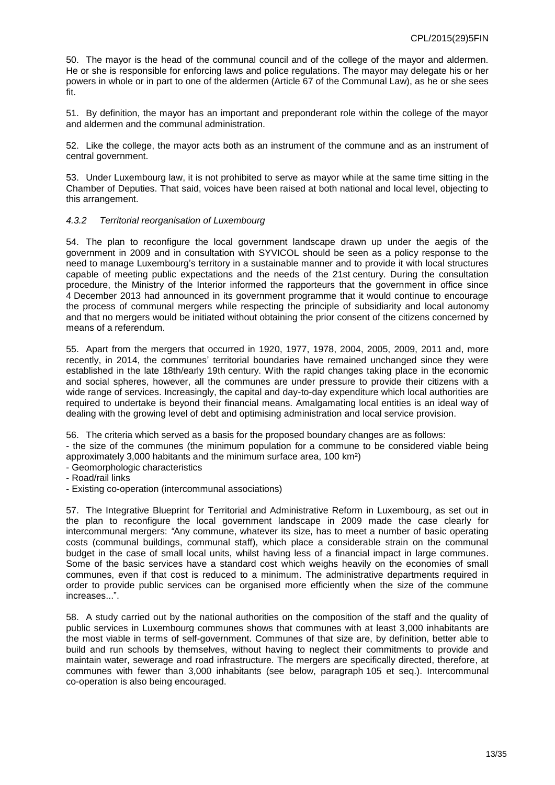50. The mayor is the head of the communal council and of the college of the mayor and aldermen. He or she is responsible for enforcing laws and police regulations. The mayor may delegate his or her powers in whole or in part to one of the aldermen (Article 67 of the Communal Law), as he or she sees fit.

51. By definition, the mayor has an important and preponderant role within the college of the mayor and aldermen and the communal administration.

52. Like the college, the mayor acts both as an instrument of the commune and as an instrument of central government.

53. Under Luxembourg law, it is not prohibited to serve as mayor while at the same time sitting in the Chamber of Deputies. That said, voices have been raised at both national and local level, objecting to this arrangement.

#### <span id="page-12-0"></span>*4.3.2 Territorial reorganisation of Luxembourg*

54. The plan to reconfigure the local government landscape drawn up under the aegis of the government in 2009 and in consultation with SYVICOL should be seen as a policy response to the need to manage Luxembourg's territory in a sustainable manner and to provide it with local structures capable of meeting public expectations and the needs of the 21st century. During the consultation procedure, the Ministry of the Interior informed the rapporteurs that the government in office since 4 December 2013 had announced in its government programme that it would continue to encourage the process of communal mergers while respecting the principle of subsidiarity and local autonomy and that no mergers would be initiated without obtaining the prior consent of the citizens concerned by means of a referendum.

55. Apart from the mergers that occurred in 1920, 1977, 1978, 2004, 2005, 2009, 2011 and, more recently, in 2014, the communes' territorial boundaries have remained unchanged since they were established in the late 18th/early 19th century. With the rapid changes taking place in the economic and social spheres, however, all the communes are under pressure to provide their citizens with a wide range of services. Increasingly, the capital and day-to-day expenditure which local authorities are required to undertake is beyond their financial means. Amalgamating local entities is an ideal way of dealing with the growing level of debt and optimising administration and local service provision.

56. The criteria which served as a basis for the proposed boundary changes are as follows:

- the size of the communes (the minimum population for a commune to be considered viable being approximately 3,000 habitants and the minimum surface area, 100 km²)

- Geomorphologic characteristics

- Road/rail links

- Existing co-operation (intercommunal associations)

57. The Integrative Blueprint for Territorial and Administrative Reform in Luxembourg, as set out in the plan to reconfigure the local government landscape in 2009 made the case clearly for intercommunal mergers: *"*Any commune, whatever its size, has to meet a number of basic operating costs (communal buildings, communal staff), which place a considerable strain on the communal budget in the case of small local units, whilst having less of a financial impact in large communes. Some of the basic services have a standard cost which weighs heavily on the economies of small communes, even if that cost is reduced to a minimum. The administrative departments required in order to provide public services can be organised more efficiently when the size of the commune increases...".

58. A study carried out by the national authorities on the composition of the staff and the quality of public services in Luxembourg communes shows that communes with at least 3,000 inhabitants are the most viable in terms of self-government. Communes of that size are, by definition, better able to build and run schools by themselves, without having to neglect their commitments to provide and maintain water, sewerage and road infrastructure. The mergers are specifically directed, therefore, at communes with fewer than 3,000 inhabitants (see below, paragraph 105 et seq.). Intercommunal co-operation is also being encouraged.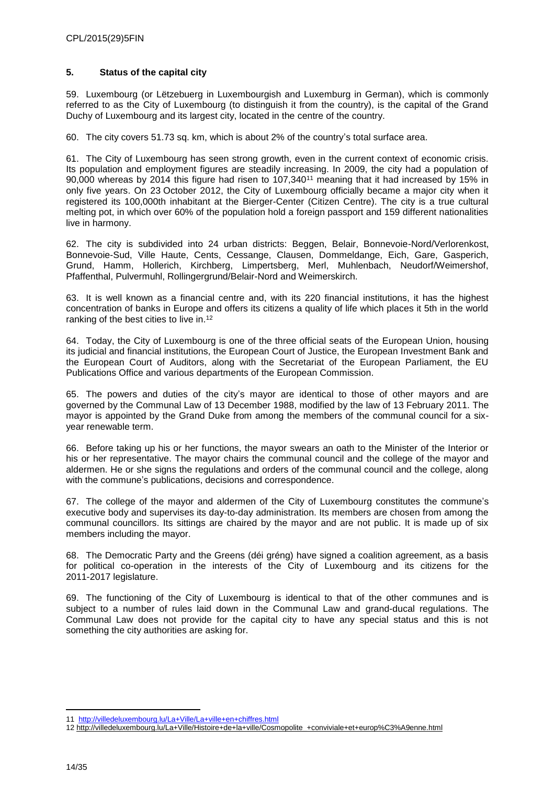### <span id="page-13-0"></span>**5. Status of the capital city**

59. Luxembourg (or Lëtzebuerg in Luxembourgish and Luxemburg in German), which is commonly referred to as the City of Luxembourg (to distinguish it from the country), is the capital of the Grand Duchy of Luxembourg and its largest city, located in the centre of the country.

60. The city covers 51.73 sq. km, which is about 2% of the country's total surface area.

61. The City of Luxembourg has seen strong growth, even in the current context of economic crisis. Its population and employment figures are steadily increasing. In 2009, the city had a population of 90,000 whereas by 2014 this figure had risen to 107,340<sup>11</sup> meaning that it had increased by 15% in only five years. On 23 October 2012, the City of Luxembourg officially became a major city when it registered its 100,000th inhabitant at the Bierger-Center (Citizen Centre). The city is a true cultural melting pot, in which over 60% of the population hold a foreign passport and 159 different nationalities live in harmony.

62. The city is subdivided into 24 urban districts: Beggen, Belair, Bonnevoie-Nord/Verlorenkost, Bonnevoie-Sud, Ville Haute, Cents, Cessange, Clausen, Dommeldange, Eich, Gare, Gasperich, Grund, Hamm, Hollerich, Kirchberg, Limpertsberg, Merl, Muhlenbach, Neudorf/Weimershof, Pfaffenthal, Pulvermuhl, Rollingergrund/Belair-Nord and Weimerskirch.

63. It is well known as a financial centre and, with its 220 financial institutions, it has the highest concentration of banks in Europe and offers its citizens a quality of life which places it 5th in the world ranking of the best cities to live in. 12

64. Today, the City of Luxembourg is one of the three official seats of the European Union, housing its judicial and financial institutions, the European Court of Justice, the European Investment Bank and the European Court of Auditors, along with the Secretariat of the European Parliament, the EU Publications Office and various departments of the European Commission.

65. The powers and duties of the city's mayor are identical to those of other mayors and are governed by the Communal Law of 13 December 1988, modified by the law of 13 February 2011. The mayor is appointed by the Grand Duke from among the members of the communal council for a sixyear renewable term.

66. Before taking up his or her functions, the mayor swears an oath to the Minister of the Interior or his or her representative. The mayor chairs the communal council and the college of the mayor and aldermen. He or she signs the regulations and orders of the communal council and the college, along with the commune's publications, decisions and correspondence.

67. The college of the mayor and aldermen of the City of Luxembourg constitutes the commune's executive body and supervises its day-to-day administration. Its members are chosen from among the communal councillors. Its sittings are chaired by the mayor and are not public. It is made up of six members including the mayor.

68. The Democratic Party and the Greens (déi gréng) have signed a coalition agreement, as a basis for political co-operation in the interests of the City of Luxembourg and its citizens for the 2011-2017 legislature.

69. The functioning of the City of Luxembourg is identical to that of the other communes and is subject to a number of rules laid down in the Communal Law and grand-ducal regulations. The Communal Law does not provide for the capital city to have any special status and this is not something the city authorities are asking for.

 $\overline{a}$ 11<http://villedeluxembourg.lu/La+Ville/La+ville+en+chiffres.html>

<sup>12</sup> [http://villedeluxembourg.lu/La+Ville/Histoire+de+la+ville/Cosmopolite\\_+conviviale+et+europ%C3%A9enne.html](http://villedeluxembourg.lu/La+Ville/Histoire+de+la+ville/Cosmopolite_+conviviale+et+europ%C3%A9enne.html)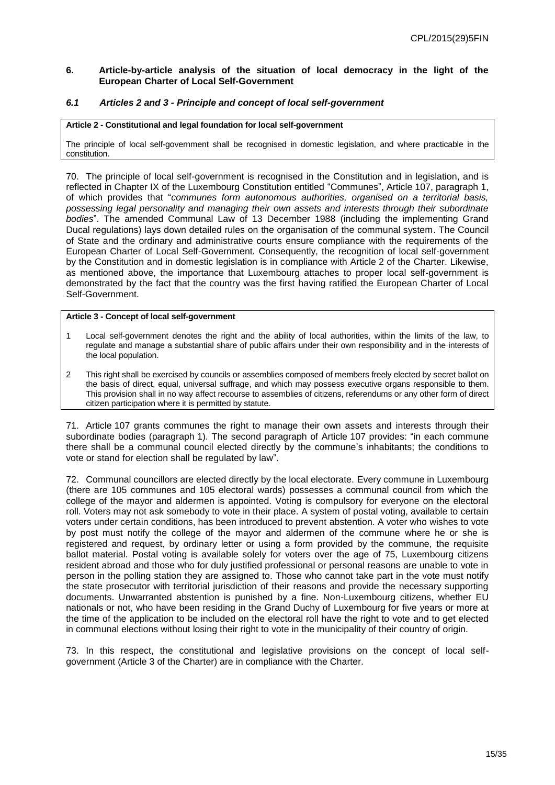#### <span id="page-14-0"></span>**6. Article-by-article analysis of the situation of local democracy in the light of the European Charter of Local Self-Government**

#### <span id="page-14-1"></span>*6.1 Articles 2 and 3 - Principle and concept of local self-government*

#### **Article 2 - Constitutional and legal foundation for local self-government**

The principle of local self-government shall be recognised in domestic legislation, and where practicable in the constitution.

70. The principle of local self-government is recognised in the Constitution and in legislation, and is reflected in Chapter IX of the Luxembourg Constitution entitled "Communes", Article 107, paragraph 1, of which provides that "*communes form autonomous authorities, organised on a territorial basis, possessing legal personality and managing their own assets and interests through their subordinate bodies*". The amended Communal Law of 13 December 1988 (including the implementing Grand Ducal regulations) lays down detailed rules on the organisation of the communal system. The Council of State and the ordinary and administrative courts ensure compliance with the requirements of the European Charter of Local Self-Government. Consequently, the recognition of local self-government by the Constitution and in domestic legislation is in compliance with Article 2 of the Charter. Likewise, as mentioned above, the importance that Luxembourg attaches to proper local self-government is demonstrated by the fact that the country was the first having ratified the European Charter of Local Self-Government.

#### **Article 3 - Concept of local self-government**

- 1 Local self-government denotes the right and the ability of local authorities, within the limits of the law, to regulate and manage a substantial share of public affairs under their own responsibility and in the interests of the local population.
- 2 This right shall be exercised by councils or assemblies composed of members freely elected by secret ballot on the basis of direct, equal, universal suffrage, and which may possess executive organs responsible to them. This provision shall in no way affect recourse to assemblies of citizens, referendums or any other form of direct citizen participation where it is permitted by statute.

71. Article 107 grants communes the right to manage their own assets and interests through their subordinate bodies (paragraph 1). The second paragraph of Article 107 provides: "in each commune there shall be a communal council elected directly by the commune's inhabitants; the conditions to vote or stand for election shall be regulated by law".

72. Communal councillors are elected directly by the local electorate. Every commune in Luxembourg (there are 105 communes and 105 electoral wards) possesses a communal council from which the college of the mayor and aldermen is appointed. Voting is compulsory for everyone on the electoral roll. Voters may not ask somebody to vote in their place. A system of postal voting, available to certain voters under certain conditions, has been introduced to prevent abstention. A voter who wishes to vote by post must notify the college of the mayor and aldermen of the commune where he or she is registered and request, by ordinary letter or using a form provided by the commune, the requisite ballot material. Postal voting is available solely for voters over the age of 75, Luxembourg citizens resident abroad and those who for duly justified professional or personal reasons are unable to vote in person in the polling station they are assigned to. Those who cannot take part in the vote must notify the state prosecutor with territorial jurisdiction of their reasons and provide the necessary supporting documents. Unwarranted abstention is punished by a fine. Non-Luxembourg citizens, whether EU nationals or not, who have been residing in the Grand Duchy of Luxembourg for five years or more at the time of the application to be included on the electoral roll have the right to vote and to get elected in communal elections without losing their right to vote in the municipality of their country of origin.

73. In this respect, the constitutional and legislative provisions on the concept of local selfgovernment (Article 3 of the Charter) are in compliance with the Charter.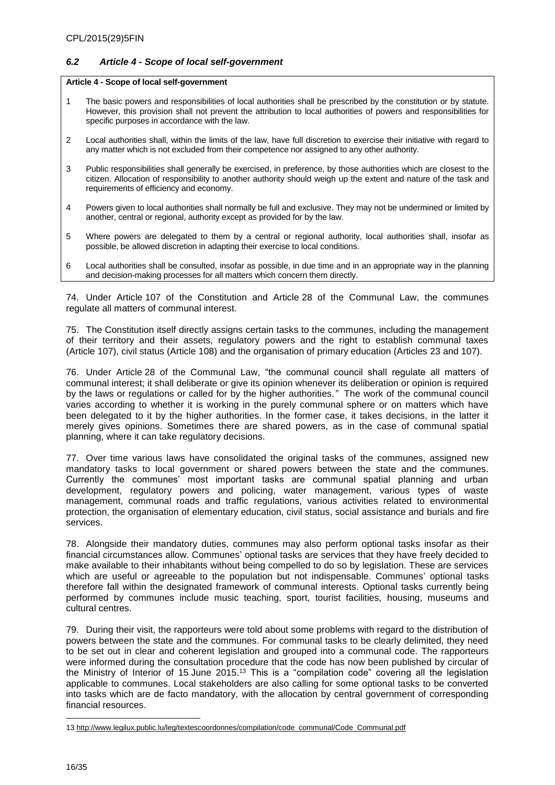#### <span id="page-15-0"></span>*6.2 Article 4 - Scope of local self-government*

#### **Article 4 - Scope of local self-government**

- 1 The basic powers and responsibilities of local authorities shall be prescribed by the constitution or by statute. However, this provision shall not prevent the attribution to local authorities of powers and responsibilities for specific purposes in accordance with the law.
- 2 Local authorities shall, within the limits of the law, have full discretion to exercise their initiative with regard to any matter which is not excluded from their competence nor assigned to any other authority.
- 3 Public responsibilities shall generally be exercised, in preference, by those authorities which are closest to the citizen. Allocation of responsibility to another authority should weigh up the extent and nature of the task and requirements of efficiency and economy.
- 4 Powers given to local authorities shall normally be full and exclusive. They may not be undermined or limited by another, central or regional, authority except as provided for by the law.
- 5 Where powers are delegated to them by a central or regional authority, local authorities shall, insofar as possible, be allowed discretion in adapting their exercise to local conditions.
- 6 Local authorities shall be consulted, insofar as possible, in due time and in an appropriate way in the planning and decision-making processes for all matters which concern them directly.

74. Under Article 107 of the Constitution and Article 28 of the Communal Law, the communes regulate all matters of communal interest.

75. The Constitution itself directly assigns certain tasks to the communes, including the management of their territory and their assets, regulatory powers and the right to establish communal taxes (Article 107), civil status (Article 108) and the organisation of primary education (Articles 23 and 107).

76. Under Article 28 of the Communal Law, "the communal council shall regulate all matters of communal interest; it shall deliberate or give its opinion whenever its deliberation or opinion is required by the laws or regulations or called for by the higher authorities*."* The work of the communal council varies according to whether it is working in the purely communal sphere or on matters which have been delegated to it by the higher authorities. In the former case, it takes decisions, in the latter it merely gives opinions. Sometimes there are shared powers, as in the case of communal spatial planning, where it can take regulatory decisions.

77. Over time various laws have consolidated the original tasks of the communes, assigned new mandatory tasks to local government or shared powers between the state and the communes. Currently the communes' most important tasks are communal spatial planning and urban development, regulatory powers and policing, water management, various types of waste management, communal roads and traffic regulations, various activities related to environmental protection, the organisation of elementary education, civil status, social assistance and burials and fire services.

78. Alongside their mandatory duties, communes may also perform optional tasks insofar as their financial circumstances allow. Communes' optional tasks are services that they have freely decided to make available to their inhabitants without being compelled to do so by legislation. These are services which are useful or agreeable to the population but not indispensable. Communes' optional tasks therefore fall within the designated framework of communal interests. Optional tasks currently being performed by communes include music teaching, sport, tourist facilities, housing, museums and cultural centres.

79. During their visit, the rapporteurs were told about some problems with regard to the distribution of powers between the state and the communes. For communal tasks to be clearly delimited, they need to be set out in clear and coherent legislation and grouped into a communal code. The rapporteurs were informed during the consultation procedure that the code has now been published by circular of the Ministry of Interior of 15 June 2015.<sup>13</sup> This is a "compilation code" covering all the legislation applicable to communes. Local stakeholders are also calling for some optional tasks to be converted into tasks which are de facto mandatory, with the allocation by central government of corresponding financial resources.

<sup>13</sup> [http://www.legilux.public.lu/leg/textescoordonnes/compilation/code\\_communal/Code\\_Communal.pdf](http://www.legilux.public.lu/leg/textescoordonnes/compilation/code_communal/Code_Communal.pdf)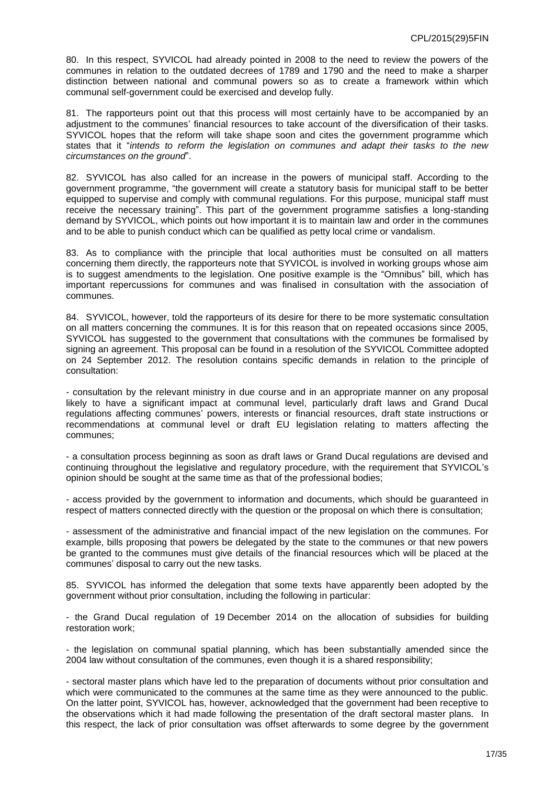80. In this respect, SYVICOL had already pointed in 2008 to the need to review the powers of the communes in relation to the outdated decrees of 1789 and 1790 and the need to make a sharper distinction between national and communal powers so as to create a framework within which communal self-government could be exercised and develop fully.

81. The rapporteurs point out that this process will most certainly have to be accompanied by an adjustment to the communes' financial resources to take account of the diversification of their tasks. SYVICOL hopes that the reform will take shape soon and cites the government programme which states that it "*intends to reform the legislation on communes and adapt their tasks to the new circumstances on the ground*".

82. SYVICOL has also called for an increase in the powers of municipal staff. According to the government programme, "the government will create a statutory basis for municipal staff to be better equipped to supervise and comply with communal regulations. For this purpose, municipal staff must receive the necessary training". This part of the government programme satisfies a long-standing demand by SYVICOL, which points out how important it is to maintain law and order in the communes and to be able to punish conduct which can be qualified as petty local crime or vandalism.

83. As to compliance with the principle that local authorities must be consulted on all matters concerning them directly, the rapporteurs note that SYVICOL is involved in working groups whose aim is to suggest amendments to the legislation. One positive example is the "Omnibus" bill, which has important repercussions for communes and was finalised in consultation with the association of communes.

84. SYVICOL, however, told the rapporteurs of its desire for there to be more systematic consultation on all matters concerning the communes. It is for this reason that on repeated occasions since 2005, SYVICOL has suggested to the government that consultations with the communes be formalised by signing an agreement. This proposal can be found in a resolution of the SYVICOL Committee adopted on 24 September 2012. The resolution contains specific demands in relation to the principle of consultation:

- consultation by the relevant ministry in due course and in an appropriate manner on any proposal likely to have a significant impact at communal level, particularly draft laws and Grand Ducal regulations affecting communes' powers, interests or financial resources, draft state instructions or recommendations at communal level or draft EU legislation relating to matters affecting the communes;

- a consultation process beginning as soon as draft laws or Grand Ducal regulations are devised and continuing throughout the legislative and regulatory procedure, with the requirement that SYVICOL's opinion should be sought at the same time as that of the professional bodies;

- access provided by the government to information and documents, which should be guaranteed in respect of matters connected directly with the question or the proposal on which there is consultation;

- assessment of the administrative and financial impact of the new legislation on the communes. For example, bills proposing that powers be delegated by the state to the communes or that new powers be granted to the communes must give details of the financial resources which will be placed at the communes' disposal to carry out the new tasks.

85. SYVICOL has informed the delegation that some texts have apparently been adopted by the government without prior consultation, including the following in particular:

- the Grand Ducal regulation of 19 December 2014 on the allocation of subsidies for building restoration work;

- the legislation on communal spatial planning, which has been substantially amended since the 2004 law without consultation of the communes, even though it is a shared responsibility;

- sectoral master plans which have led to the preparation of documents without prior consultation and which were communicated to the communes at the same time as they were announced to the public. On the latter point, SYVICOL has, however, acknowledged that the government had been receptive to the observations which it had made following the presentation of the draft sectoral master plans. In this respect, the lack of prior consultation was offset afterwards to some degree by the government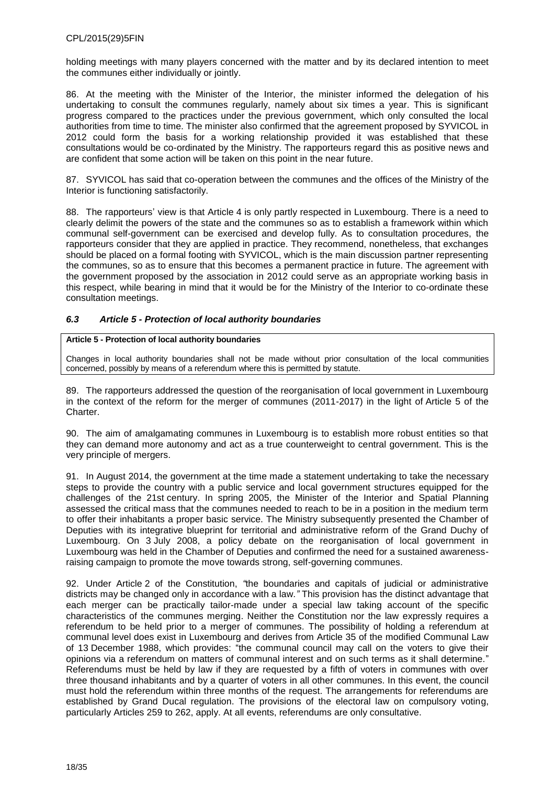holding meetings with many players concerned with the matter and by its declared intention to meet the communes either individually or jointly.

86. At the meeting with the Minister of the Interior, the minister informed the delegation of his undertaking to consult the communes regularly, namely about six times a year. This is significant progress compared to the practices under the previous government, which only consulted the local authorities from time to time. The minister also confirmed that the agreement proposed by SYVICOL in 2012 could form the basis for a working relationship provided it was established that these consultations would be co-ordinated by the Ministry. The rapporteurs regard this as positive news and are confident that some action will be taken on this point in the near future.

87. SYVICOL has said that co-operation between the communes and the offices of the Ministry of the Interior is functioning satisfactorily.

88. The rapporteurs' view is that Article 4 is only partly respected in Luxembourg. There is a need to clearly delimit the powers of the state and the communes so as to establish a framework within which communal self-government can be exercised and develop fully. As to consultation procedures, the rapporteurs consider that they are applied in practice. They recommend, nonetheless, that exchanges should be placed on a formal footing with SYVICOL, which is the main discussion partner representing the communes, so as to ensure that this becomes a permanent practice in future. The agreement with the government proposed by the association in 2012 could serve as an appropriate working basis in this respect, while bearing in mind that it would be for the Ministry of the Interior to co-ordinate these consultation meetings.

### <span id="page-17-0"></span>*6.3 Article 5 - Protection of local authority boundaries*

#### **Article 5 - Protection of local authority boundaries**

Changes in local authority boundaries shall not be made without prior consultation of the local communities concerned, possibly by means of a referendum where this is permitted by statute.

89. The rapporteurs addressed the question of the reorganisation of local government in Luxembourg in the context of the reform for the merger of communes (2011-2017) in the light of Article 5 of the Charter.

90. The aim of amalgamating communes in Luxembourg is to establish more robust entities so that they can demand more autonomy and act as a true counterweight to central government. This is the very principle of mergers.

91. In August 2014, the government at the time made a statement undertaking to take the necessary steps to provide the country with a public service and local government structures equipped for the challenges of the 21st century. In spring 2005, the Minister of the Interior and Spatial Planning assessed the critical mass that the communes needed to reach to be in a position in the medium term to offer their inhabitants a proper basic service. The Ministry subsequently presented the Chamber of Deputies with its integrative blueprint for territorial and administrative reform of the Grand Duchy of Luxembourg. On 3 July 2008, a policy debate on the reorganisation of local government in Luxembourg was held in the Chamber of Deputies and confirmed the need for a sustained awarenessraising campaign to promote the move towards strong, self-governing communes.

92. Under Article 2 of the Constitution, *"*the boundaries and capitals of judicial or administrative districts may be changed only in accordance with a law*."* This provision has the distinct advantage that each merger can be practically tailor-made under a special law taking account of the specific characteristics of the communes merging. Neither the Constitution nor the law expressly requires a referendum to be held prior to a merger of communes. The possibility of holding a referendum at communal level does exist in Luxembourg and derives from Article 35 of the modified Communal Law of 13 December 1988, which provides: "the communal council may call on the voters to give their opinions via a referendum on matters of communal interest and on such terms as it shall determine." Referendums must be held by law if they are requested by a fifth of voters in communes with over three thousand inhabitants and by a quarter of voters in all other communes. In this event, the council must hold the referendum within three months of the request. The arrangements for referendums are established by Grand Ducal regulation. The provisions of the electoral law on compulsory voting, particularly Articles 259 to 262, apply. At all events, referendums are only consultative.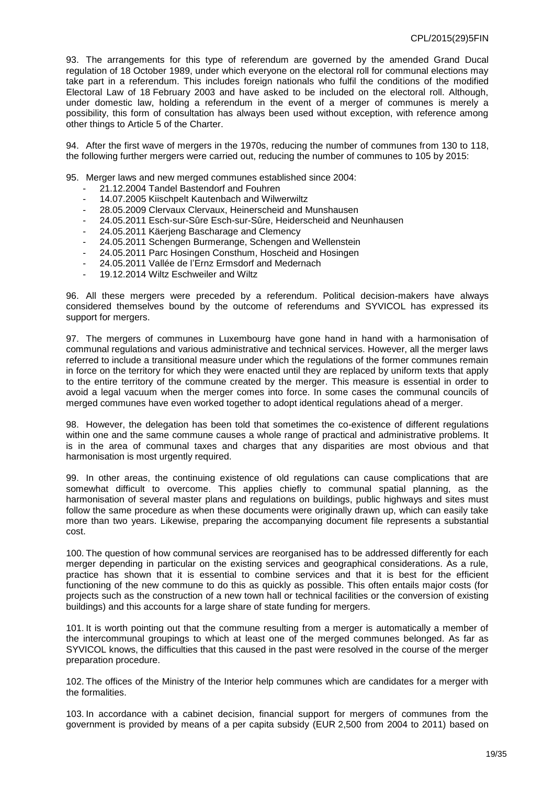93. The arrangements for this type of referendum are governed by the amended Grand Ducal regulation of 18 October 1989, under which everyone on the electoral roll for communal elections may take part in a referendum. This includes foreign nationals who fulfil the conditions of the modified Electoral Law of 18 February 2003 and have asked to be included on the electoral roll. Although, under domestic law, holding a referendum in the event of a merger of communes is merely a possibility, this form of consultation has always been used without exception, with reference among other things to Article 5 of the Charter.

94. After the first wave of mergers in the 1970s, reducing the number of communes from 130 to 118, the following further mergers were carried out, reducing the number of communes to 105 by 2015:

95. Merger laws and new merged communes established since 2004:

- 21.12.2004 Tandel Bastendorf and Fouhren
- 14.07.2005 Kiischpelt Kautenbach and Wilwerwiltz
- 28.05.2009 Clervaux Clervaux, Heinerscheid and Munshausen
- 24.05.2011 Esch-sur-Sûre Esch-sur-Sûre, Heiderscheid and Neunhausen
- 24.05.2011 Käerjeng Bascharage and Clemency
- 24.05.2011 Schengen Burmerange, Schengen and Wellenstein
- 24.05.2011 Parc Hosingen Consthum, Hoscheid and Hosingen
- 24.05.2011 Vallée de l'Ernz Ermsdorf and Medernach
- 19.12.2014 Wiltz Eschweiler and Wiltz

96. All these mergers were preceded by a referendum. Political decision-makers have always considered themselves bound by the outcome of referendums and SYVICOL has expressed its support for mergers.

97. The mergers of communes in Luxembourg have gone hand in hand with a harmonisation of communal regulations and various administrative and technical services. However, all the merger laws referred to include a transitional measure under which the regulations of the former communes remain in force on the territory for which they were enacted until they are replaced by uniform texts that apply to the entire territory of the commune created by the merger. This measure is essential in order to avoid a legal vacuum when the merger comes into force. In some cases the communal councils of merged communes have even worked together to adopt identical regulations ahead of a merger.

98. However, the delegation has been told that sometimes the co-existence of different regulations within one and the same commune causes a whole range of practical and administrative problems. It is in the area of communal taxes and charges that any disparities are most obvious and that harmonisation is most urgently required.

99. In other areas, the continuing existence of old regulations can cause complications that are somewhat difficult to overcome. This applies chiefly to communal spatial planning, as the harmonisation of several master plans and regulations on buildings, public highways and sites must follow the same procedure as when these documents were originally drawn up, which can easily take more than two years. Likewise, preparing the accompanying document file represents a substantial cost.

100. The question of how communal services are reorganised has to be addressed differently for each merger depending in particular on the existing services and geographical considerations. As a rule, practice has shown that it is essential to combine services and that it is best for the efficient functioning of the new commune to do this as quickly as possible. This often entails major costs (for projects such as the construction of a new town hall or technical facilities or the conversion of existing buildings) and this accounts for a large share of state funding for mergers.

101. It is worth pointing out that the commune resulting from a merger is automatically a member of the intercommunal groupings to which at least one of the merged communes belonged. As far as SYVICOL knows, the difficulties that this caused in the past were resolved in the course of the merger preparation procedure.

102. The offices of the Ministry of the Interior help communes which are candidates for a merger with the formalities.

103. In accordance with a cabinet decision, financial support for mergers of communes from the government is provided by means of a per capita subsidy (EUR 2,500 from 2004 to 2011) based on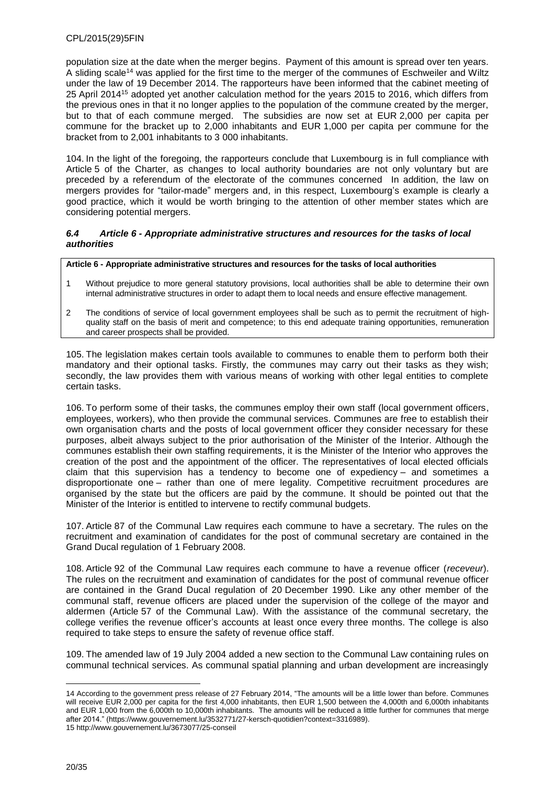population size at the date when the merger begins. Payment of this amount is spread over ten years. A sliding scale<sup>14</sup> was applied for the first time to the merger of the communes of Eschweiler and Wiltz under the law of 19 December 2014. The rapporteurs have been informed that the cabinet meeting of 25 April 2014<sup>15</sup> adopted yet another calculation method for the years 2015 to 2016, which differs from the previous ones in that it no longer applies to the population of the commune created by the merger, but to that of each commune merged. The subsidies are now set at EUR 2,000 per capita per commune for the bracket up to 2,000 inhabitants and EUR 1,000 per capita per commune for the bracket from to 2,001 inhabitants to 3 000 inhabitants.

104. In the light of the foregoing, the rapporteurs conclude that Luxembourg is in full compliance with Article 5 of the Charter, as changes to local authority boundaries are not only voluntary but are preceded by a referendum of the electorate of the communes concerned In addition, the law on mergers provides for "tailor-made" mergers and, in this respect, Luxembourg's example is clearly a good practice, which it would be worth bringing to the attention of other member states which are considering potential mergers.

#### <span id="page-19-0"></span>*6.4 Article 6 - Appropriate administrative structures and resources for the tasks of local authorities*

**Article 6 - Appropriate administrative structures and resources for the tasks of local authorities**

- 1 Without prejudice to more general statutory provisions, local authorities shall be able to determine their own internal administrative structures in order to adapt them to local needs and ensure effective management.
- 2 The conditions of service of local government employees shall be such as to permit the recruitment of highquality staff on the basis of merit and competence; to this end adequate training opportunities, remuneration and career prospects shall be provided.

105. The legislation makes certain tools available to communes to enable them to perform both their mandatory and their optional tasks. Firstly, the communes may carry out their tasks as they wish; secondly, the law provides them with various means of working with other legal entities to complete certain tasks.

106. To perform some of their tasks, the communes employ their own staff (local government officers, employees, workers), who then provide the communal services. Communes are free to establish their own organisation charts and the posts of local government officer they consider necessary for these purposes, albeit always subject to the prior authorisation of the Minister of the Interior. Although the communes establish their own staffing requirements, it is the Minister of the Interior who approves the creation of the post and the appointment of the officer. The representatives of local elected officials claim that this supervision has a tendency to become one of expediency – and sometimes a disproportionate one – rather than one of mere legality. Competitive recruitment procedures are organised by the state but the officers are paid by the commune. It should be pointed out that the Minister of the Interior is entitled to intervene to rectify communal budgets.

107. Article 87 of the Communal Law requires each commune to have a secretary. The rules on the recruitment and examination of candidates for the post of communal secretary are contained in the Grand Ducal regulation of 1 February 2008.

108. Article 92 of the Communal Law requires each commune to have a revenue officer (*receveur*). The rules on the recruitment and examination of candidates for the post of communal revenue officer are contained in the Grand Ducal regulation of 20 December 1990. Like any other member of the communal staff, revenue officers are placed under the supervision of the college of the mayor and aldermen (Article 57 of the Communal Law). With the assistance of the communal secretary, the college verifies the revenue officer's accounts at least once every three months. The college is also required to take steps to ensure the safety of revenue office staff.

109. The amended law of 19 July 2004 added a new section to the Communal Law containing rules on communal technical services. As communal spatial planning and urban development are increasingly

<sup>14</sup> According to the government press release of 27 February 2014, "The amounts will be a little lower than before. Communes will receive EUR 2,000 per capita for the first 4,000 inhabitants, then EUR 1,500 between the 4,000th and 6,000th inhabitants and EUR 1,000 from the 6,000th to 10,000th inhabitants. The amounts will be reduced a little further for communes that merge after 2014." [\(https://www.gouvernement.lu/3532771/27-kersch-quotidien?context=3316989\)](https://www.gouvernement.lu/3532771/27-kersch-quotidien?context=3316989). 15 <http://www.gouvernement.lu/3673077/25-conseil>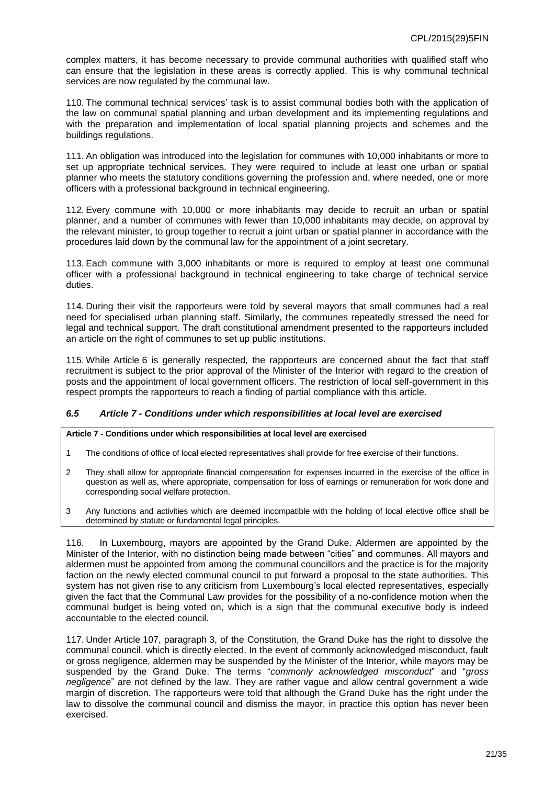complex matters, it has become necessary to provide communal authorities with qualified staff who can ensure that the legislation in these areas is correctly applied. This is why communal technical services are now regulated by the communal law.

110. The communal technical services' task is to assist communal bodies both with the application of the law on communal spatial planning and urban development and its implementing regulations and with the preparation and implementation of local spatial planning projects and schemes and the buildings regulations.

111. An obligation was introduced into the legislation for communes with 10,000 inhabitants or more to set up appropriate technical services. They were required to include at least one urban or spatial planner who meets the statutory conditions governing the profession and, where needed, one or more officers with a professional background in technical engineering.

112. Every commune with 10,000 or more inhabitants may decide to recruit an urban or spatial planner, and a number of communes with fewer than 10,000 inhabitants may decide, on approval by the relevant minister, to group together to recruit a joint urban or spatial planner in accordance with the procedures laid down by the communal law for the appointment of a joint secretary.

113. Each commune with 3,000 inhabitants or more is required to employ at least one communal officer with a professional background in technical engineering to take charge of technical service duties.

114. During their visit the rapporteurs were told by several mayors that small communes had a real need for specialised urban planning staff. Similarly, the communes repeatedly stressed the need for legal and technical support. The draft constitutional amendment presented to the rapporteurs included an article on the right of communes to set up public institutions.

115. While Article 6 is generally respected, the rapporteurs are concerned about the fact that staff recruitment is subject to the prior approval of the Minister of the Interior with regard to the creation of posts and the appointment of local government officers. The restriction of local self-government in this respect prompts the rapporteurs to reach a finding of partial compliance with this article.

#### <span id="page-20-0"></span>*6.5 Article 7 - Conditions under which responsibilities at local level are exercised*

#### **Article 7 - Conditions under which responsibilities at local level are exercised**

- 1 The conditions of office of local elected representatives shall provide for free exercise of their functions.
- 2 They shall allow for appropriate financial compensation for expenses incurred in the exercise of the office in question as well as, where appropriate, compensation for loss of earnings or remuneration for work done and corresponding social welfare protection.
- 3 Any functions and activities which are deemed incompatible with the holding of local elective office shall be determined by statute or fundamental legal principles.

116. In Luxembourg, mayors are appointed by the Grand Duke. Aldermen are appointed by the Minister of the Interior, with no distinction being made between "cities" and communes. All mayors and aldermen must be appointed from among the communal councillors and the practice is for the majority faction on the newly elected communal council to put forward a proposal to the state authorities. This system has not given rise to any criticism from Luxembourg's local elected representatives, especially given the fact that the Communal Law provides for the possibility of a no-confidence motion when the communal budget is being voted on, which is a sign that the communal executive body is indeed accountable to the elected council.

117. Under Article 107, paragraph 3, of the Constitution, the Grand Duke has the right to dissolve the communal council, which is directly elected. In the event of commonly acknowledged misconduct, fault or gross negligence, aldermen may be suspended by the Minister of the Interior, while mayors may be suspended by the Grand Duke. The terms "*commonly acknowledged misconduct*" and "*gross negligence*" are not defined by the law. They are rather vague and allow central government a wide margin of discretion. The rapporteurs were told that although the Grand Duke has the right under the law to dissolve the communal council and dismiss the mayor, in practice this option has never been exercised.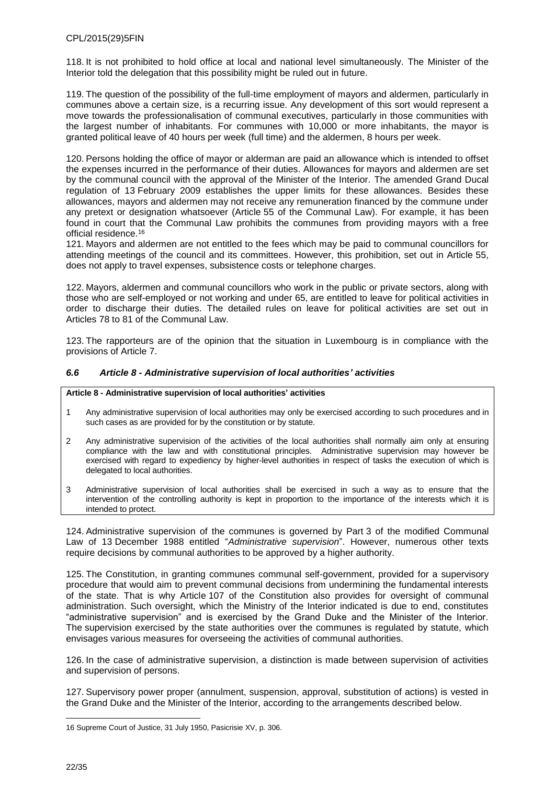118. It is not prohibited to hold office at local and national level simultaneously. The Minister of the Interior told the delegation that this possibility might be ruled out in future.

119. The question of the possibility of the full-time employment of mayors and aldermen, particularly in communes above a certain size, is a recurring issue. Any development of this sort would represent a move towards the professionalisation of communal executives, particularly in those communities with the largest number of inhabitants. For communes with 10,000 or more inhabitants, the mayor is granted political leave of 40 hours per week (full time) and the aldermen, 8 hours per week.

120. Persons holding the office of mayor or alderman are paid an allowance which is intended to offset the expenses incurred in the performance of their duties. Allowances for mayors and aldermen are set by the communal council with the approval of the Minister of the Interior. The amended Grand Ducal regulation of 13 February 2009 establishes the upper limits for these allowances. Besides these allowances, mayors and aldermen may not receive any remuneration financed by the commune under any pretext or designation whatsoever (Article 55 of the Communal Law). For example, it has been found in court that the Communal Law prohibits the communes from providing mayors with a free official residence. 16

121. Mayors and aldermen are not entitled to the fees which may be paid to communal councillors for attending meetings of the council and its committees. However, this prohibition, set out in Article 55, does not apply to travel expenses, subsistence costs or telephone charges.

122. Mayors, aldermen and communal councillors who work in the public or private sectors, along with those who are self-employed or not working and under 65, are entitled to leave for political activities in order to discharge their duties. The detailed rules on leave for political activities are set out in Articles 78 to 81 of the Communal Law.

123. The rapporteurs are of the opinion that the situation in Luxembourg is in compliance with the provisions of Article 7.

#### <span id="page-21-0"></span>*6.6 Article 8 - Administrative supervision of local authorities' activities*

#### **Article 8 - Administrative supervision of local authorities' activities**

- 1 Any administrative supervision of local authorities may only be exercised according to such procedures and in such cases as are provided for by the constitution or by statute.
- 2 Any administrative supervision of the activities of the local authorities shall normally aim only at ensuring compliance with the law and with constitutional principles. Administrative supervision may however be exercised with regard to expediency by higher-level authorities in respect of tasks the execution of which is delegated to local authorities.
- 3 Administrative supervision of local authorities shall be exercised in such a way as to ensure that the intervention of the controlling authority is kept in proportion to the importance of the interests which it is intended to protect.

124. Administrative supervision of the communes is governed by Part 3 of the modified Communal Law of 13 December 1988 entitled "*Administrative supervision*". However, numerous other texts require decisions by communal authorities to be approved by a higher authority.

125. The Constitution, in granting communes communal self-government, provided for a supervisory procedure that would aim to prevent communal decisions from undermining the fundamental interests of the state. That is why Article 107 of the Constitution also provides for oversight of communal administration. Such oversight, which the Ministry of the Interior indicated is due to end, constitutes "administrative supervision" and is exercised by the Grand Duke and the Minister of the Interior. The supervision exercised by the state authorities over the communes is regulated by statute, which envisages various measures for overseeing the activities of communal authorities.

126. In the case of administrative supervision, a distinction is made between supervision of activities and supervision of persons.

127. Supervisory power proper (annulment, suspension, approval, substitution of actions) is vested in the Grand Duke and the Minister of the Interior, according to the arrangements described below.

<sup>16</sup> Supreme Court of Justice, 31 July 1950, Pasicrisie XV, p. 306.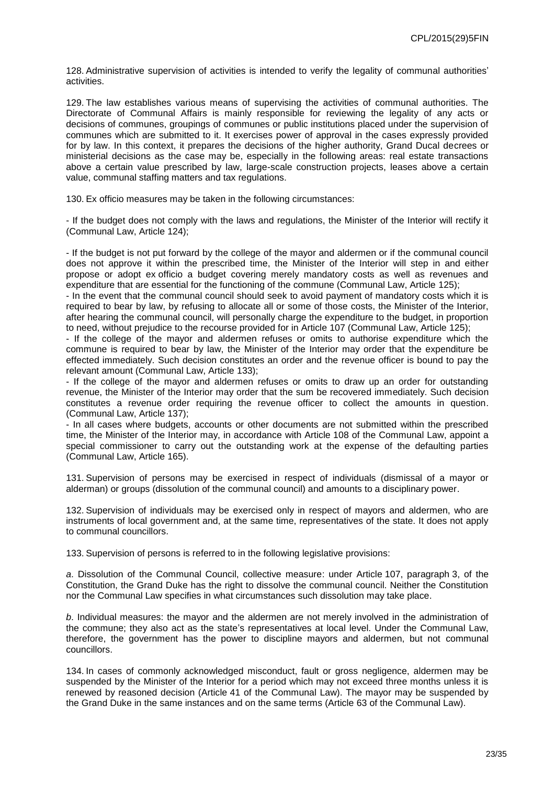128. Administrative supervision of activities is intended to verify the legality of communal authorities' activities.

129. The law establishes various means of supervising the activities of communal authorities. The Directorate of Communal Affairs is mainly responsible for reviewing the legality of any acts or decisions of communes, groupings of communes or public institutions placed under the supervision of communes which are submitted to it. It exercises power of approval in the cases expressly provided for by law. In this context, it prepares the decisions of the higher authority, Grand Ducal decrees or ministerial decisions as the case may be, especially in the following areas: real estate transactions above a certain value prescribed by law, large-scale construction projects, leases above a certain value, communal staffing matters and tax regulations.

130. Ex officio measures may be taken in the following circumstances:

- If the budget does not comply with the laws and regulations, the Minister of the Interior will rectify it (Communal Law, Article 124);

- If the budget is not put forward by the college of the mayor and aldermen or if the communal council does not approve it within the prescribed time, the Minister of the Interior will step in and either propose or adopt ex officio a budget covering merely mandatory costs as well as revenues and expenditure that are essential for the functioning of the commune (Communal Law, Article 125);

- In the event that the communal council should seek to avoid payment of mandatory costs which it is required to bear by law, by refusing to allocate all or some of those costs, the Minister of the Interior, after hearing the communal council, will personally charge the expenditure to the budget, in proportion to need, without prejudice to the recourse provided for in Article 107 (Communal Law, Article 125);

- If the college of the mayor and aldermen refuses or omits to authorise expenditure which the commune is required to bear by law, the Minister of the Interior may order that the expenditure be effected immediately. Such decision constitutes an order and the revenue officer is bound to pay the relevant amount (Communal Law, Article 133);

- If the college of the mayor and aldermen refuses or omits to draw up an order for outstanding revenue, the Minister of the Interior may order that the sum be recovered immediately. Such decision constitutes a revenue order requiring the revenue officer to collect the amounts in question. (Communal Law, Article 137);

- In all cases where budgets, accounts or other documents are not submitted within the prescribed time, the Minister of the Interior may, in accordance with Article 108 of the Communal Law, appoint a special commissioner to carry out the outstanding work at the expense of the defaulting parties (Communal Law, Article 165).

131. Supervision of persons may be exercised in respect of individuals (dismissal of a mayor or alderman) or groups (dissolution of the communal council) and amounts to a disciplinary power.

132. Supervision of individuals may be exercised only in respect of mayors and aldermen, who are instruments of local government and, at the same time, representatives of the state. It does not apply to communal councillors.

133. Supervision of persons is referred to in the following legislative provisions:

*a*. Dissolution of the Communal Council, collective measure: under Article 107, paragraph 3, of the Constitution, the Grand Duke has the right to dissolve the communal council. Neither the Constitution nor the Communal Law specifies in what circumstances such dissolution may take place.

*b*. Individual measures: the mayor and the aldermen are not merely involved in the administration of the commune; they also act as the state's representatives at local level. Under the Communal Law, therefore, the government has the power to discipline mayors and aldermen, but not communal councillors.

134. In cases of commonly acknowledged misconduct, fault or gross negligence, aldermen may be suspended by the Minister of the Interior for a period which may not exceed three months unless it is renewed by reasoned decision (Article 41 of the Communal Law). The mayor may be suspended by the Grand Duke in the same instances and on the same terms (Article 63 of the Communal Law).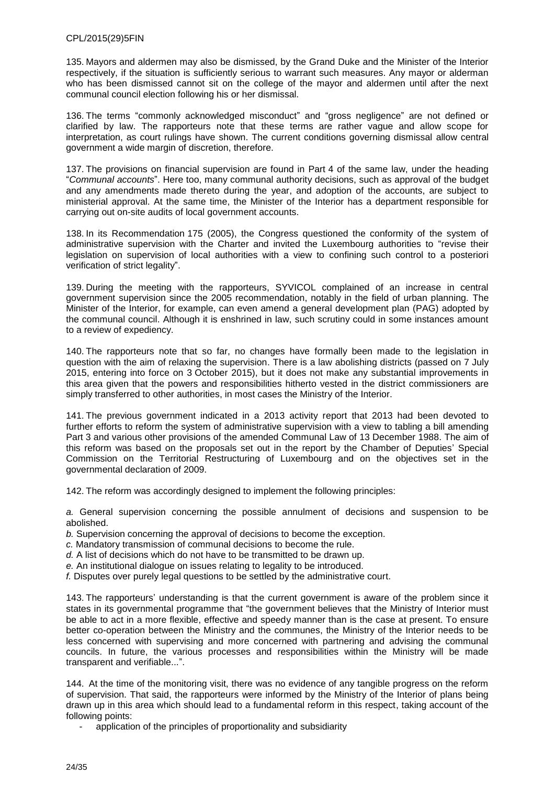135. Mayors and aldermen may also be dismissed, by the Grand Duke and the Minister of the Interior respectively, if the situation is sufficiently serious to warrant such measures. Any mayor or alderman who has been dismissed cannot sit on the college of the mayor and aldermen until after the next communal council election following his or her dismissal.

136. The terms "commonly acknowledged misconduct" and "gross negligence" are not defined or clarified by law. The rapporteurs note that these terms are rather vague and allow scope for interpretation, as court rulings have shown. The current conditions governing dismissal allow central government a wide margin of discretion, therefore.

137. The provisions on financial supervision are found in Part 4 of the same law, under the heading "*Communal accounts*". Here too, many communal authority decisions, such as approval of the budget and any amendments made thereto during the year, and adoption of the accounts, are subject to ministerial approval. At the same time, the Minister of the Interior has a department responsible for carrying out on-site audits of local government accounts.

138. In its Recommendation 175 (2005), the Congress questioned the conformity of the system of administrative supervision with the Charter and invited the Luxembourg authorities to "revise their legislation on supervision of local authorities with a view to confining such control to a posteriori verification of strict legality".

139. During the meeting with the rapporteurs, SYVICOL complained of an increase in central government supervision since the 2005 recommendation, notably in the field of urban planning. The Minister of the Interior, for example, can even amend a general development plan (PAG) adopted by the communal council. Although it is enshrined in law, such scrutiny could in some instances amount to a review of expediency.

140. The rapporteurs note that so far, no changes have formally been made to the legislation in question with the aim of relaxing the supervision. There is a law abolishing districts (passed on 7 July 2015, entering into force on 3 October 2015), but it does not make any substantial improvements in this area given that the powers and responsibilities hitherto vested in the district commissioners are simply transferred to other authorities, in most cases the Ministry of the Interior.

141. The previous government indicated in a 2013 activity report that 2013 had been devoted to further efforts to reform the system of administrative supervision with a view to tabling a bill amending Part 3 and various other provisions of the amended Communal Law of 13 December 1988. The aim of this reform was based on the proposals set out in the report by the Chamber of Deputies' Special Commission on the Territorial Restructuring of Luxembourg and on the objectives set in the governmental declaration of 2009.

142. The reform was accordingly designed to implement the following principles:

*a.* General supervision concerning the possible annulment of decisions and suspension to be abolished.

*b.* Supervision concerning the approval of decisions to become the exception.

- *c.* Mandatory transmission of communal decisions to become the rule.
- *d.* A list of decisions which do not have to be transmitted to be drawn up.
- *e.* An institutional dialogue on issues relating to legality to be introduced.
- *f.* Disputes over purely legal questions to be settled by the administrative court.

143. The rapporteurs' understanding is that the current government is aware of the problem since it states in its governmental programme that "the government believes that the Ministry of Interior must be able to act in a more flexible, effective and speedy manner than is the case at present. To ensure better co-operation between the Ministry and the communes, the Ministry of the Interior needs to be less concerned with supervising and more concerned with partnering and advising the communal councils. In future, the various processes and responsibilities within the Ministry will be made transparent and verifiable...".

144. At the time of the monitoring visit, there was no evidence of any tangible progress on the reform of supervision. That said, the rapporteurs were informed by the Ministry of the Interior of plans being drawn up in this area which should lead to a fundamental reform in this respect, taking account of the following points:

application of the principles of proportionality and subsidiarity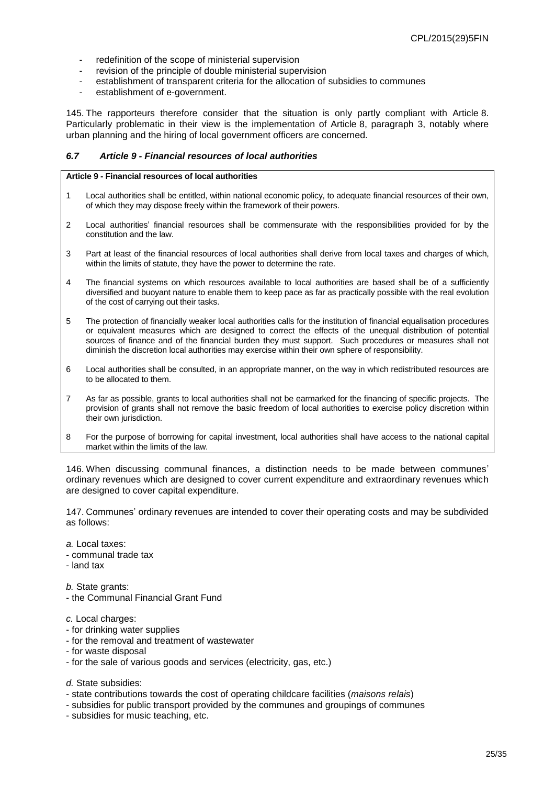- redefinition of the scope of ministerial supervision
- revision of the principle of double ministerial supervision
- establishment of transparent criteria for the allocation of subsidies to communes
- establishment of e-government.

145. The rapporteurs therefore consider that the situation is only partly compliant with Article 8. Particularly problematic in their view is the implementation of Article 8, paragraph 3, notably where urban planning and the hiring of local government officers are concerned.

#### <span id="page-24-0"></span>*6.7 Article 9 - Financial resources of local authorities*

#### **Article 9 - Financial resources of local authorities**

- 1 Local authorities shall be entitled, within national economic policy, to adequate financial resources of their own, of which they may dispose freely within the framework of their powers.
- 2 Local authorities' financial resources shall be commensurate with the responsibilities provided for by the constitution and the law.
- 3 Part at least of the financial resources of local authorities shall derive from local taxes and charges of which, within the limits of statute, they have the power to determine the rate.
- 4 The financial systems on which resources available to local authorities are based shall be of a sufficiently diversified and buoyant nature to enable them to keep pace as far as practically possible with the real evolution of the cost of carrying out their tasks.
- 5 The protection of financially weaker local authorities calls for the institution of financial equalisation procedures or equivalent measures which are designed to correct the effects of the unequal distribution of potential sources of finance and of the financial burden they must support. Such procedures or measures shall not diminish the discretion local authorities may exercise within their own sphere of responsibility.
- 6 Local authorities shall be consulted, in an appropriate manner, on the way in which redistributed resources are to be allocated to them.
- 7 As far as possible, grants to local authorities shall not be earmarked for the financing of specific projects. The provision of grants shall not remove the basic freedom of local authorities to exercise policy discretion within their own jurisdiction.
- 8 For the purpose of borrowing for capital investment, local authorities shall have access to the national capital market within the limits of the law.

146. When discussing communal finances, a distinction needs to be made between communes' ordinary revenues which are designed to cover current expenditure and extraordinary revenues which are designed to cover capital expenditure.

147. Communes' ordinary revenues are intended to cover their operating costs and may be subdivided as follows:

- *a.* Local taxes:
- communal trade tax
- land tax

*b.* State grants:

- the Communal Financial Grant Fund
- *c.* Local charges:
- for drinking water supplies
- for the removal and treatment of wastewater
- for waste disposal
- for the sale of various goods and services (electricity, gas, etc.)

*d.* State subsidies:

- state contributions towards the cost of operating childcare facilities (*maisons relais*)
- subsidies for public transport provided by the communes and groupings of communes
- subsidies for music teaching, etc.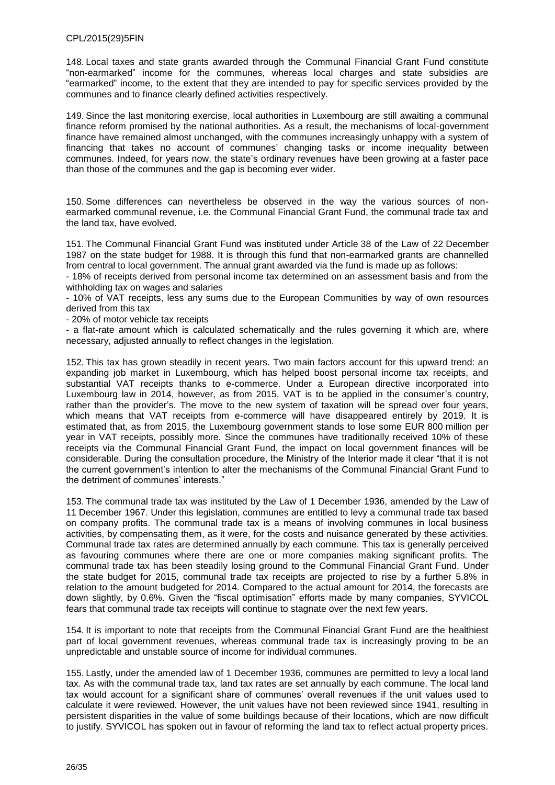148. Local taxes and state grants awarded through the Communal Financial Grant Fund constitute "non-earmarked" income for the communes, whereas local charges and state subsidies are "earmarked" income, to the extent that they are intended to pay for specific services provided by the communes and to finance clearly defined activities respectively.

149. Since the last monitoring exercise, local authorities in Luxembourg are still awaiting a communal finance reform promised by the national authorities. As a result, the mechanisms of local-government finance have remained almost unchanged, with the communes increasingly unhappy with a system of financing that takes no account of communes' changing tasks or income inequality between communes. Indeed, for years now, the state's ordinary revenues have been growing at a faster pace than those of the communes and the gap is becoming ever wider.

150. Some differences can nevertheless be observed in the way the various sources of nonearmarked communal revenue, i.e. the Communal Financial Grant Fund, the communal trade tax and the land tax, have evolved.

151. The Communal Financial Grant Fund was instituted under Article 38 of the Law of 22 December 1987 on the state budget for 1988. It is through this fund that non-earmarked grants are channelled from central to local government. The annual grant awarded via the fund is made up as follows:

- 18% of receipts derived from personal income tax determined on an assessment basis and from the withholding tax on wages and salaries

- 10% of VAT receipts, less any sums due to the European Communities by way of own resources derived from this tax

- 20% of motor vehicle tax receipts

- a flat-rate amount which is calculated schematically and the rules governing it which are, where necessary, adjusted annually to reflect changes in the legislation.

152. This tax has grown steadily in recent years. Two main factors account for this upward trend: an expanding job market in Luxembourg, which has helped boost personal income tax receipts, and substantial VAT receipts thanks to e-commerce. Under a European directive incorporated into Luxembourg law in 2014, however, as from 2015, VAT is to be applied in the consumer's country, rather than the provider's. The move to the new system of taxation will be spread over four years, which means that VAT receipts from e-commerce will have disappeared entirely by 2019. It is estimated that, as from 2015, the Luxembourg government stands to lose some EUR 800 million per year in VAT receipts, possibly more. Since the communes have traditionally received 10% of these receipts via the Communal Financial Grant Fund, the impact on local government finances will be considerable. During the consultation procedure, the Ministry of the Interior made it clear "that it is not the current government's intention to alter the mechanisms of the Communal Financial Grant Fund to the detriment of communes' interests."

153. The communal trade tax was instituted by the Law of 1 December 1936, amended by the Law of 11 December 1967. Under this legislation, communes are entitled to levy a communal trade tax based on company profits. The communal trade tax is a means of involving communes in local business activities, by compensating them, as it were, for the costs and nuisance generated by these activities. Communal trade tax rates are determined annually by each commune. This tax is generally perceived as favouring communes where there are one or more companies making significant profits. The communal trade tax has been steadily losing ground to the Communal Financial Grant Fund. Under the state budget for 2015, communal trade tax receipts are projected to rise by a further 5.8% in relation to the amount budgeted for 2014. Compared to the actual amount for 2014, the forecasts are down slightly, by 0.6%. Given the "fiscal optimisation" efforts made by many companies, SYVICOL fears that communal trade tax receipts will continue to stagnate over the next few years.

154. It is important to note that receipts from the Communal Financial Grant Fund are the healthiest part of local government revenues, whereas communal trade tax is increasingly proving to be an unpredictable and unstable source of income for individual communes.

155. Lastly, under the amended law of 1 December 1936, communes are permitted to levy a local land tax. As with the communal trade tax, land tax rates are set annually by each commune. The local land tax would account for a significant share of communes' overall revenues if the unit values used to calculate it were reviewed. However, the unit values have not been reviewed since 1941, resulting in persistent disparities in the value of some buildings because of their locations, which are now difficult to justify. SYVICOL has spoken out in favour of reforming the land tax to reflect actual property prices.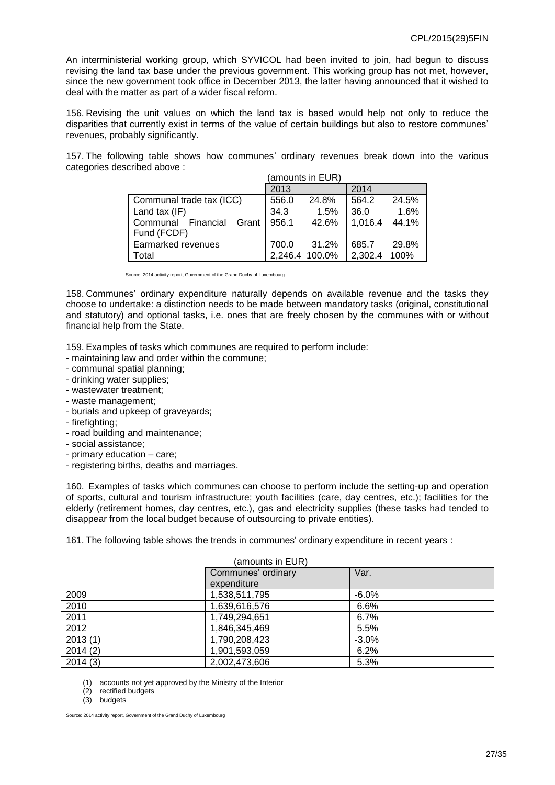An interministerial working group, which SYVICOL had been invited to join, had begun to discuss revising the land tax base under the previous government. This working group has not met, however, since the new government took office in December 2013, the latter having announced that it wished to deal with the matter as part of a wider fiscal reform.

156. Revising the unit values on which the land tax is based would help not only to reduce the disparities that currently exist in terms of the value of certain buildings but also to restore communes' revenues, probably significantly.

157. The following table shows how communes' ordinary revenues break down into the various categories described above :

|                          |       | (amounts in EUR) |         |       |
|--------------------------|-------|------------------|---------|-------|
|                          | 2013  |                  | 2014    |       |
| Communal trade tax (ICC) | 556.0 | 24.8%            | 564.2   | 24.5% |
| Land tax (IF)            | 34.3  | $1.5\%$          | 36.0    | 1.6%  |
| Communal Financial Grant | 956.1 | 42.6%            | 1,016.4 | 44.1% |
| Fund (FCDF)              |       |                  |         |       |
| Earmarked revenues       | 700.0 | 31.2%            | 685.7   | 29.8% |
| Total                    |       | 2,246.4 100.0%   | 2,302.4 | 100%  |

Source: 2014 activity report, Government of the Grand Duchy of Luxembourg

158. Communes' ordinary expenditure naturally depends on available revenue and the tasks they choose to undertake: a distinction needs to be made between mandatory tasks (original, constitutional and statutory) and optional tasks, i.e. ones that are freely chosen by the communes with or without financial help from the State.

159. Examples of tasks which communes are required to perform include:

- maintaining law and order within the commune;
- communal spatial planning;
- drinking water supplies;
- wastewater treatment;
- waste management;
- burials and upkeep of graveyards;
- firefighting;
- road building and maintenance;
- social assistance;
- primary education care;
- registering births, deaths and marriages.

160. Examples of tasks which communes can choose to perform include the setting-up and operation of sports, cultural and tourism infrastructure; youth facilities (care, day centres, etc.); facilities for the elderly (retirement homes, day centres, etc.), gas and electricity supplies (these tasks had tended to disappear from the local budget because of outsourcing to private entities).

161. The following table shows the trends in communes' ordinary expenditure in recent years :

| (amounts in EUR) |                    |         |  |
|------------------|--------------------|---------|--|
|                  | Communes' ordinary | Var.    |  |
|                  | expenditure        |         |  |
| 2009             | 1,538,511,795      | $-6.0%$ |  |
| 2010             | 1,639,616,576      | 6.6%    |  |
| 2011             | 1,749,294,651      | 6.7%    |  |
| 2012             | 1,846,345,469      | 5.5%    |  |
| 2013(1)          | 1,790,208,423      | $-3.0%$ |  |
| 2014(2)          | 1,901,593,059      | 6.2%    |  |
| 2014(3)          | 2,002,473,606      | 5.3%    |  |

(1) accounts not yet approved by the Ministry of the Interior

(2) rectified budgets

(3) budgets

Source: 2014 activity report, Government of the Grand Duchy of Luxembourg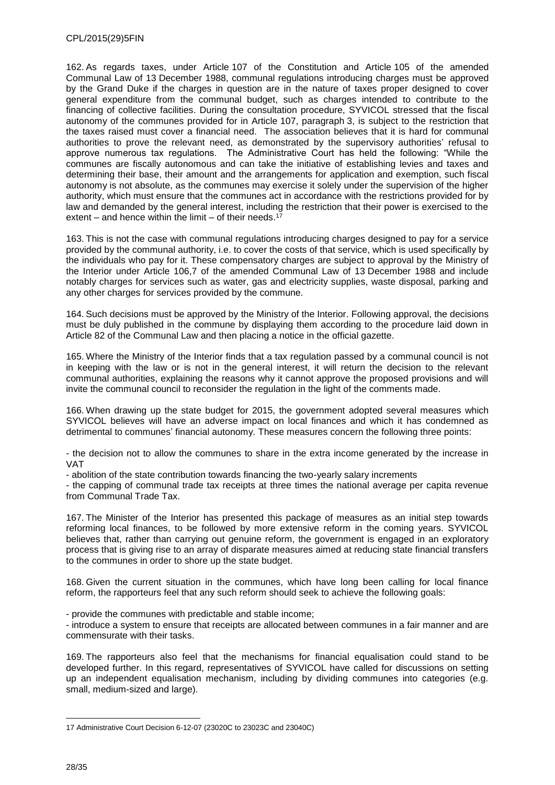162. As regards taxes, under Article 107 of the Constitution and Article 105 of the amended Communal Law of 13 December 1988, communal regulations introducing charges must be approved by the Grand Duke if the charges in question are in the nature of taxes proper designed to cover general expenditure from the communal budget, such as charges intended to contribute to the financing of collective facilities. During the consultation procedure, SYVICOL stressed that the fiscal autonomy of the communes provided for in Article 107, paragraph 3, is subject to the restriction that the taxes raised must cover a financial need. The association believes that it is hard for communal authorities to prove the relevant need, as demonstrated by the supervisory authorities' refusal to approve numerous tax regulations. The Administrative Court has held the following: "While the communes are fiscally autonomous and can take the initiative of establishing levies and taxes and determining their base, their amount and the arrangements for application and exemption, such fiscal autonomy is not absolute, as the communes may exercise it solely under the supervision of the higher authority, which must ensure that the communes act in accordance with the restrictions provided for by law and demanded by the general interest, including the restriction that their power is exercised to the extent – and hence within the limit – of their needs. 17

163. This is not the case with communal regulations introducing charges designed to pay for a service provided by the communal authority, i.e. to cover the costs of that service, which is used specifically by the individuals who pay for it. These compensatory charges are subject to approval by the Ministry of the Interior under Article 106,7 of the amended Communal Law of 13 December 1988 and include notably charges for services such as water, gas and electricity supplies, waste disposal, parking and any other charges for services provided by the commune.

164. Such decisions must be approved by the Ministry of the Interior. Following approval, the decisions must be duly published in the commune by displaying them according to the procedure laid down in Article 82 of the Communal Law and then placing a notice in the official gazette.

165. Where the Ministry of the Interior finds that a tax regulation passed by a communal council is not in keeping with the law or is not in the general interest, it will return the decision to the relevant communal authorities, explaining the reasons why it cannot approve the proposed provisions and will invite the communal council to reconsider the regulation in the light of the comments made.

166. When drawing up the state budget for 2015, the government adopted several measures which SYVICOL believes will have an adverse impact on local finances and which it has condemned as detrimental to communes' financial autonomy. These measures concern the following three points:

- the decision not to allow the communes to share in the extra income generated by the increase in VAT

- abolition of the state contribution towards financing the two-yearly salary increments

- the capping of communal trade tax receipts at three times the national average per capita revenue from Communal Trade Tax.

167. The Minister of the Interior has presented this package of measures as an initial step towards reforming local finances, to be followed by more extensive reform in the coming years. SYVICOL believes that, rather than carrying out genuine reform, the government is engaged in an exploratory process that is giving rise to an array of disparate measures aimed at reducing state financial transfers to the communes in order to shore up the state budget.

168. Given the current situation in the communes, which have long been calling for local finance reform, the rapporteurs feel that any such reform should seek to achieve the following goals:

- provide the communes with predictable and stable income;

- introduce a system to ensure that receipts are allocated between communes in a fair manner and are commensurate with their tasks.

169. The rapporteurs also feel that the mechanisms for financial equalisation could stand to be developed further. In this regard, representatives of SYVICOL have called for discussions on setting up an independent equalisation mechanism, including by dividing communes into categories (e.g. small, medium-sized and large).

<sup>17</sup> Administrative Court Decision 6-12-07 (23020C to 23023C and 23040C)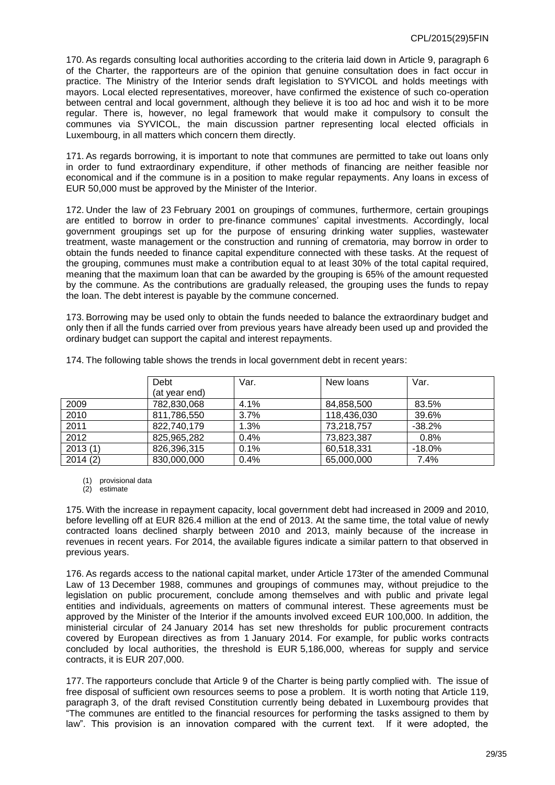170. As regards consulting local authorities according to the criteria laid down in Article 9, paragraph 6 of the Charter, the rapporteurs are of the opinion that genuine consultation does in fact occur in practice. The Ministry of the Interior sends draft legislation to SYVICOL and holds meetings with mayors. Local elected representatives, moreover, have confirmed the existence of such co-operation between central and local government, although they believe it is too ad hoc and wish it to be more regular. There is, however, no legal framework that would make it compulsory to consult the communes via SYVICOL, the main discussion partner representing local elected officials in Luxembourg, in all matters which concern them directly.

171. As regards borrowing, it is important to note that communes are permitted to take out loans only in order to fund extraordinary expenditure, if other methods of financing are neither feasible nor economical and if the commune is in a position to make regular repayments. Any loans in excess of EUR 50,000 must be approved by the Minister of the Interior.

172. Under the law of 23 February 2001 on groupings of communes, furthermore, certain groupings are entitled to borrow in order to pre-finance communes' capital investments. Accordingly, local government groupings set up for the purpose of ensuring drinking water supplies, wastewater treatment, waste management or the construction and running of crematoria, may borrow in order to obtain the funds needed to finance capital expenditure connected with these tasks. At the request of the grouping, communes must make a contribution equal to at least 30% of the total capital required, meaning that the maximum loan that can be awarded by the grouping is 65% of the amount requested by the commune. As the contributions are gradually released, the grouping uses the funds to repay the loan. The debt interest is payable by the commune concerned.

173. Borrowing may be used only to obtain the funds needed to balance the extraordinary budget and only then if all the funds carried over from previous years have already been used up and provided the ordinary budget can support the capital and interest repayments.

|         | Debt          | Var. | New loans   | Var.      |
|---------|---------------|------|-------------|-----------|
|         | (at year end) |      |             |           |
| 2009    | 782,830,068   | 4.1% | 84,858,500  | 83.5%     |
| 2010    | 811,786,550   | 3.7% | 118,436,030 | 39.6%     |
| 2011    | 822,740,179   | 1.3% | 73,218,757  | $-38.2%$  |
| 2012    | 825,965,282   | 0.4% | 73,823,387  | 0.8%      |
| 2013(1) | 826,396,315   | 0.1% | 60,518,331  | $-18.0\%$ |
| 2014(2) | 830,000,000   | 0.4% | 65,000,000  | 7.4%      |

174. The following table shows the trends in local government debt in recent years:

(1) provisional data

(2) estimate

175. With the increase in repayment capacity, local government debt had increased in 2009 and 2010, before levelling off at EUR 826.4 million at the end of 2013. At the same time, the total value of newly contracted loans declined sharply between 2010 and 2013, mainly because of the increase in revenues in recent years. For 2014, the available figures indicate a similar pattern to that observed in previous years.

176. As regards access to the national capital market, under Article 173ter of the amended Communal Law of 13 December 1988, communes and groupings of communes may, without prejudice to the legislation on public procurement, conclude among themselves and with public and private legal entities and individuals, agreements on matters of communal interest. These agreements must be approved by the Minister of the Interior if the amounts involved exceed EUR 100,000. In addition, the ministerial circular of 24 January 2014 has set new thresholds for public procurement contracts covered by European directives as from 1 January 2014. For example, for public works contracts concluded by local authorities, the threshold is EUR 5,186,000, whereas for supply and service contracts, it is EUR 207,000.

177. The rapporteurs conclude that Article 9 of the Charter is being partly complied with. The issue of free disposal of sufficient own resources seems to pose a problem. It is worth noting that Article 119, paragraph 3, of the draft revised Constitution currently being debated in Luxembourg provides that "The communes are entitled to the financial resources for performing the tasks assigned to them by law". This provision is an innovation compared with the current text. If it were adopted, the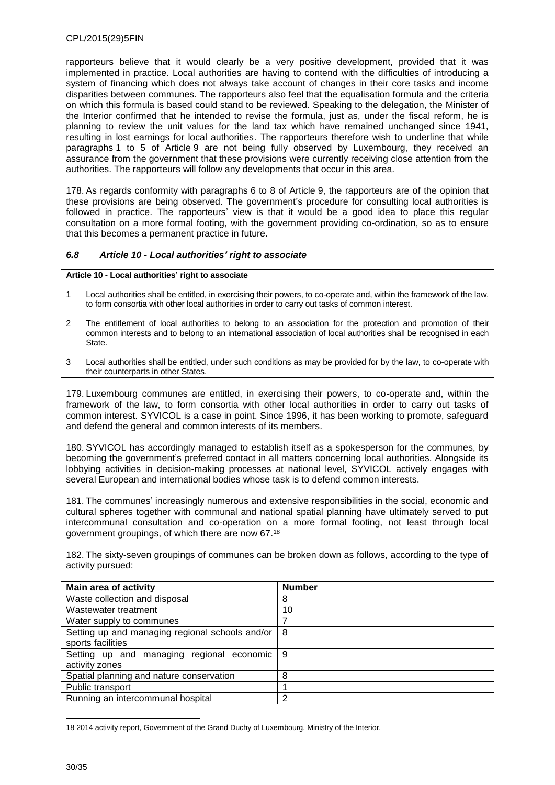rapporteurs believe that it would clearly be a very positive development, provided that it was implemented in practice. Local authorities are having to contend with the difficulties of introducing a system of financing which does not always take account of changes in their core tasks and income disparities between communes. The rapporteurs also feel that the equalisation formula and the criteria on which this formula is based could stand to be reviewed. Speaking to the delegation, the Minister of the Interior confirmed that he intended to revise the formula, just as, under the fiscal reform, he is planning to review the unit values for the land tax which have remained unchanged since 1941, resulting in lost earnings for local authorities. The rapporteurs therefore wish to underline that while paragraphs 1 to 5 of Article 9 are not being fully observed by Luxembourg, they received an assurance from the government that these provisions were currently receiving close attention from the authorities. The rapporteurs will follow any developments that occur in this area.

178. As regards conformity with paragraphs 6 to 8 of Article 9, the rapporteurs are of the opinion that these provisions are being observed. The government's procedure for consulting local authorities is followed in practice. The rapporteurs' view is that it would be a good idea to place this regular consultation on a more formal footing, with the government providing co-ordination, so as to ensure that this becomes a permanent practice in future.

### <span id="page-29-0"></span>*6.8 Article 10 - Local authorities' right to associate*

#### **Article 10 - Local authorities' right to associate**

- 1 Local authorities shall be entitled, in exercising their powers, to co-operate and, within the framework of the law, to form consortia with other local authorities in order to carry out tasks of common interest.
- 2 The entitlement of local authorities to belong to an association for the protection and promotion of their common interests and to belong to an international association of local authorities shall be recognised in each State.
- 3 Local authorities shall be entitled, under such conditions as may be provided for by the law, to co-operate with their counterparts in other States.

179. Luxembourg communes are entitled, in exercising their powers, to co-operate and, within the framework of the law, to form consortia with other local authorities in order to carry out tasks of common interest. SYVICOL is a case in point. Since 1996, it has been working to promote, safeguard and defend the general and common interests of its members.

180. SYVICOL has accordingly managed to establish itself as a spokesperson for the communes, by becoming the government's preferred contact in all matters concerning local authorities. Alongside its lobbying activities in decision-making processes at national level, SYVICOL actively engages with several European and international bodies whose task is to defend common interests.

181. The communes' increasingly numerous and extensive responsibilities in the social, economic and cultural spheres together with communal and national spatial planning have ultimately served to put intercommunal consultation and co-operation on a more formal footing, not least through local government groupings, of which there are now 67. 18

182. The sixty-seven groupings of communes can be broken down as follows, according to the type of activity pursued:

| <b>Main area of activity</b>                    | <b>Number</b> |
|-------------------------------------------------|---------------|
| Waste collection and disposal                   | 8             |
| Wastewater treatment                            | 10            |
| Water supply to communes                        | 7             |
| Setting up and managing regional schools and/or | 8             |
| sports facilities                               |               |
| Setting up and managing regional economic       | 9             |
| activity zones                                  |               |
| Spatial planning and nature conservation        | 8             |
| Public transport                                |               |
| Running an intercommunal hospital               | 2             |

 $\overline{a}$ 18 2014 activity report, Government of the Grand Duchy of Luxembourg, Ministry of the Interior.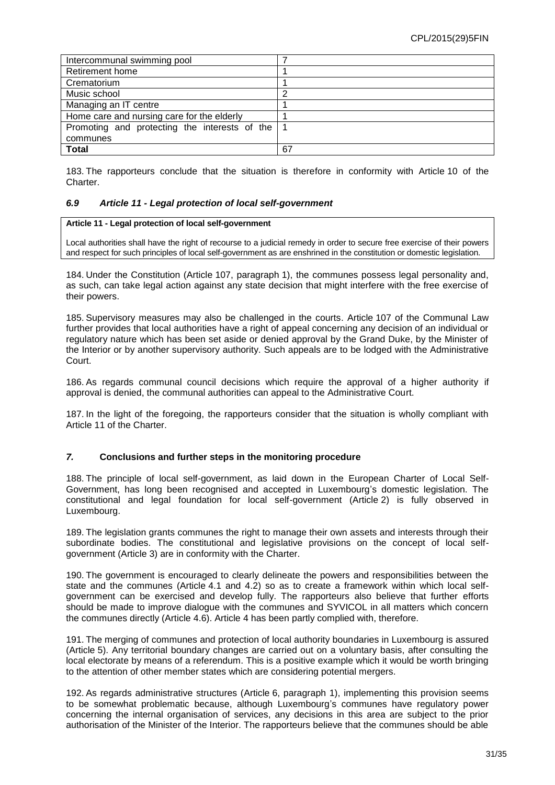| Intercommunal swimming pool                   |    |
|-----------------------------------------------|----|
| Retirement home                               |    |
| Crematorium                                   |    |
| Music school                                  | ◠  |
| Managing an IT centre                         |    |
| Home care and nursing care for the elderly    |    |
| Promoting and protecting the interests of the |    |
| communes                                      |    |
| <b>Total</b>                                  | 67 |

183. The rapporteurs conclude that the situation is therefore in conformity with Article 10 of the Charter.

#### <span id="page-30-0"></span>*6.9 Article 11 - Legal protection of local self-government*

#### **Article 11 - Legal protection of local self-government**

Local authorities shall have the right of recourse to a judicial remedy in order to secure free exercise of their powers and respect for such principles of local self-government as are enshrined in the constitution or domestic legislation.

184. Under the Constitution (Article 107, paragraph 1), the communes possess legal personality and, as such, can take legal action against any state decision that might interfere with the free exercise of their powers.

185. Supervisory measures may also be challenged in the courts. Article 107 of the Communal Law further provides that local authorities have a right of appeal concerning any decision of an individual or regulatory nature which has been set aside or denied approval by the Grand Duke, by the Minister of the Interior or by another supervisory authority. Such appeals are to be lodged with the Administrative Court.

186. As regards communal council decisions which require the approval of a higher authority if approval is denied, the communal authorities can appeal to the Administrative Court.

187. In the light of the foregoing, the rapporteurs consider that the situation is wholly compliant with Article 11 of the Charter.

#### <span id="page-30-1"></span>*7.* **Conclusions and further steps in the monitoring procedure**

188. The principle of local self-government, as laid down in the European Charter of Local Self-Government, has long been recognised and accepted in Luxembourg's domestic legislation. The constitutional and legal foundation for local self-government (Article 2) is fully observed in Luxembourg.

189. The legislation grants communes the right to manage their own assets and interests through their subordinate bodies. The constitutional and legislative provisions on the concept of local selfgovernment (Article 3) are in conformity with the Charter.

190. The government is encouraged to clearly delineate the powers and responsibilities between the state and the communes (Article 4.1 and 4.2) so as to create a framework within which local selfgovernment can be exercised and develop fully. The rapporteurs also believe that further efforts should be made to improve dialogue with the communes and SYVICOL in all matters which concern the communes directly (Article 4.6). Article 4 has been partly complied with, therefore.

191. The merging of communes and protection of local authority boundaries in Luxembourg is assured (Article 5). Any territorial boundary changes are carried out on a voluntary basis, after consulting the local electorate by means of a referendum. This is a positive example which it would be worth bringing to the attention of other member states which are considering potential mergers.

192. As regards administrative structures (Article 6, paragraph 1), implementing this provision seems to be somewhat problematic because, although Luxembourg's communes have regulatory power concerning the internal organisation of services, any decisions in this area are subject to the prior authorisation of the Minister of the Interior. The rapporteurs believe that the communes should be able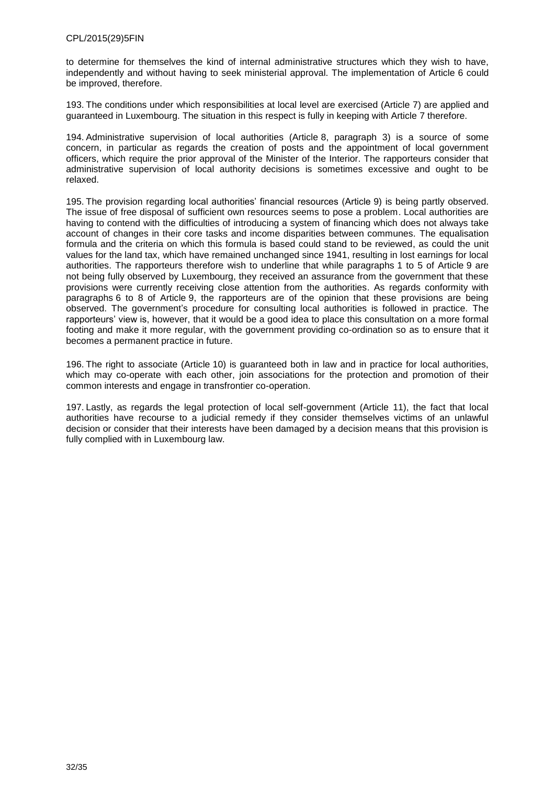to determine for themselves the kind of internal administrative structures which they wish to have, independently and without having to seek ministerial approval. The implementation of Article 6 could be improved, therefore.

193. The conditions under which responsibilities at local level are exercised (Article 7) are applied and guaranteed in Luxembourg. The situation in this respect is fully in keeping with Article 7 therefore.

194. Administrative supervision of local authorities (Article 8, paragraph 3) is a source of some concern, in particular as regards the creation of posts and the appointment of local government officers, which require the prior approval of the Minister of the Interior. The rapporteurs consider that administrative supervision of local authority decisions is sometimes excessive and ought to be relaxed.

195. The provision regarding local authorities' financial resources (Article 9) is being partly observed. The issue of free disposal of sufficient own resources seems to pose a problem. Local authorities are having to contend with the difficulties of introducing a system of financing which does not always take account of changes in their core tasks and income disparities between communes. The equalisation formula and the criteria on which this formula is based could stand to be reviewed, as could the unit values for the land tax, which have remained unchanged since 1941, resulting in lost earnings for local authorities. The rapporteurs therefore wish to underline that while paragraphs 1 to 5 of Article 9 are not being fully observed by Luxembourg, they received an assurance from the government that these provisions were currently receiving close attention from the authorities. As regards conformity with paragraphs 6 to 8 of Article 9, the rapporteurs are of the opinion that these provisions are being observed. The government's procedure for consulting local authorities is followed in practice. The rapporteurs' view is, however, that it would be a good idea to place this consultation on a more formal footing and make it more regular, with the government providing co-ordination so as to ensure that it becomes a permanent practice in future.

196. The right to associate (Article 10) is guaranteed both in law and in practice for local authorities, which may co-operate with each other, join associations for the protection and promotion of their common interests and engage in transfrontier co-operation.

197. Lastly, as regards the legal protection of local self-government (Article 11), the fact that local authorities have recourse to a judicial remedy if they consider themselves victims of an unlawful decision or consider that their interests have been damaged by a decision means that this provision is fully complied with in Luxembourg law.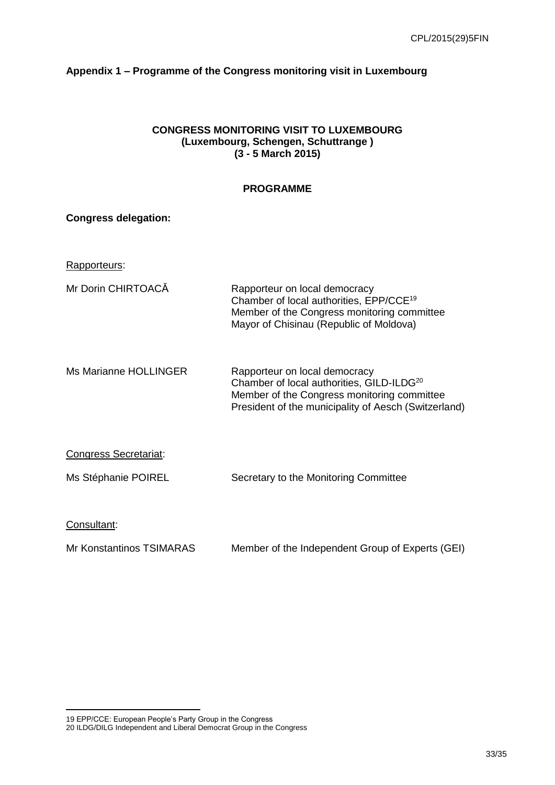# <span id="page-32-0"></span>**Appendix 1 – Programme of the Congress monitoring visit in Luxembourg**

# **CONGRESS MONITORING VISIT TO LUXEMBOURG (Luxembourg, Schengen, Schuttrange ) (3 - 5 March 2015)**

# **PROGRAMME**

| <b>Congress delegation:</b> |                                                                                                                                                                                               |
|-----------------------------|-----------------------------------------------------------------------------------------------------------------------------------------------------------------------------------------------|
| Rapporteurs:                |                                                                                                                                                                                               |
| Mr Dorin CHIRTOACĂ          | Rapporteur on local democracy<br>Chamber of local authorities, EPP/CCE <sup>19</sup><br>Member of the Congress monitoring committee<br>Mayor of Chisinau (Republic of Moldova)                |
| Ms Marianne HOLLINGER       | Rapporteur on local democracy<br>Chamber of local authorities, GILD-ILDG <sup>20</sup><br>Member of the Congress monitoring committee<br>President of the municipality of Aesch (Switzerland) |
| Congress Secretariat:       |                                                                                                                                                                                               |
| Ms Stéphanie POIREL         | Secretary to the Monitoring Committee                                                                                                                                                         |
| Consultant:                 |                                                                                                                                                                                               |
| Mr Konstantinos TSIMARAS    | Member of the Independent Group of Experts (GEI)                                                                                                                                              |

<sup>19</sup> EPP/CCE: European People's Party Group in the Congress

<sup>20</sup> ILDG/DILG Independent and Liberal Democrat Group in the Congress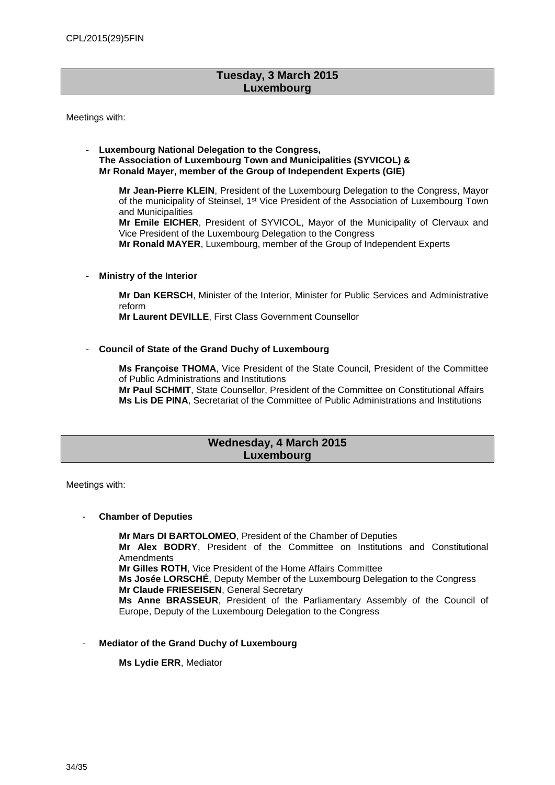# **Tuesday, 3 March 2015 Luxembourg**

Meetings with:

#### - **Luxembourg National Delegation to the Congress, The Association of Luxembourg Town and Municipalities (SYVICOL) & Mr Ronald Mayer, member of the Group of Independent Experts (GIE)**

**Mr Jean-Pierre KLEIN**, President of the Luxembourg Delegation to the Congress, Mayor of the municipality of Steinsel, 1st Vice President of the Association of Luxembourg Town and Municipalities

**Mr Emile EICHER**, President of SYVICOL, Mayor of the Municipality of Clervaux and Vice President of the Luxembourg Delegation to the Congress

**Mr Ronald MAYER**, Luxembourg, member of the Group of Independent Experts

**Ministry of the Interior** 

**Mr Dan KERSCH**, Minister of the Interior, Minister for Public Services and Administrative reform

**Mr Laurent DEVILLE**, First Class Government Counsellor

- **Council of State of the Grand Duchy of Luxembourg** 

**Ms Françoise THOMA**, Vice President of the State Council, President of the Committee of Public Administrations and Institutions **Mr Paul SCHMIT**, State Counsellor, President of the Committee on Constitutional Affairs **Ms Lis DE PINA**, Secretariat of the Committee of Public Administrations and Institutions

## **Wednesday, 4 March 2015 Luxembourg**

Meetings with:

### - **Chamber of Deputies**

**Mr Mars DI BARTOLOMEO**, President of the Chamber of Deputies **Mr Alex BODRY**, President of the Committee on Institutions and Constitutional Amendments **Mr Gilles ROTH**, Vice President of the Home Affairs Committee **Ms Josée LORSCHÉ**, Deputy Member of the Luxembourg Delegation to the Congress **Mr Claude FRIESEISEN**, General Secretary **Ms Anne BRASSEUR**, President of the Parliamentary Assembly of the Council of Europe, Deputy of the Luxembourg Delegation to the Congress

- **Mediator of the Grand Duchy of Luxembourg** 

**Ms Lydie ERR**, Mediator